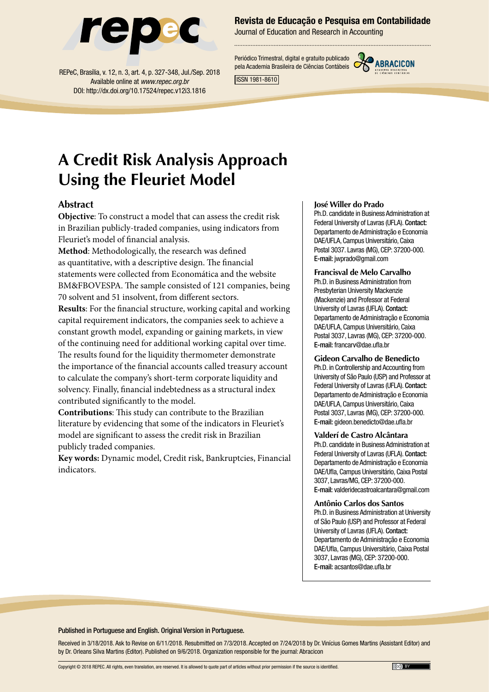

REPeC, Brasília, v. 12, n. 3, art. 4, p. 327-348, Jul./Sep. 2018 Available online at *www.repec.org.br* DOI: http://dx.doi.org/10.17524/repec.v12i3.1816

### Revista de Educação e Pesquisa em Contabilidade

Journal of Education and Research in Accounting

Periódico Trimestral, digital e gratuito publicado pela Academia Brasileira de Ciências Contábeis



ISSN 1981-8610

# **A Credit Risk Analysis Approach Using the Fleuriet Model**

### **Abstract**

**Objective**: To construct a model that can assess the credit risk in Brazilian publicly-traded companies, using indicators from Fleuriet's model of financial analysis.

**Method**: Methodologically, the research was defined as quantitative, with a descriptive design. The financial statements were collected from Economática and the website BM&FBOVESPA. The sample consisted of 121 companies, being 70 solvent and 51 insolvent, from different sectors.

**Results**: For the financial structure, working capital and working capital requirement indicators, the companies seek to achieve a constant growth model, expanding or gaining markets, in view of the continuing need for additional working capital over time. The results found for the liquidity thermometer demonstrate the importance of the financial accounts called treasury account to calculate the company's short-term corporate liquidity and solvency. Finally, financial indebtedness as a structural index contributed significantly to the model.

**Contributions**: This study can contribute to the Brazilian literature by evidencing that some of the indicators in Fleuriet's model are significant to assess the credit risk in Brazilian publicly traded companies.

**Key words:** Dynamic model, Credit risk, Bankruptcies, Financial indicators.

#### **José Willer do Prado**

Ph.D. candidate in Business Administration at Federal University of Lavras (UFLA). Contact: Departamento de Administração e Economia DAE/UFLA, Campus Universitário, Caixa Postal 3037. Lavras (MG), CEP: 37200-000. E-mail: jwprado@gmail.com

**Francisval de Melo Carvalho** Ph.D. in Business Administration from Presbyterian University Mackenzie (Mackenzie) and Professor at Federal University of Lavras (UFLA). Contact: Departamento de Administração e Economia DAE/UFLA, Campus Universitário, Caixa Postal 3037, Lavras (MG), CEP: 37200-000. E-mail: francarv@dae.ufla.br

#### **Gideon Carvalho de Benedicto**

Ph.D. in Controllership and Accounting from University of São Paulo (USP) and Professor at Federal University of Lavras (UFLA). Contact: Departamento de Administração e Economia DAE/UFLA, Campus Universitário, Caixa Postal 3037, Lavras (MG), CEP: 37200-000. E-mail: gideon.benedicto@dae.ufla.br

#### **Valderí de Castro Alcântara**

Ph.D. candidate in Business Administration at Federal University of Lavras (UFLA). Contact: Departamento de Administração e Economia DAE/Ufla, Campus Universitário, Caixa Postal 3037, Lavras/MG, CEP: 37200-000. E-mail: valderidecastroalcantara@gmail.com

#### **Antônio Carlos dos Santos**

Ph.D. in Business Administration at University of São Paulo (USP) and Professor at Federal University of Lavras (UFLA). Contact: Departamento de Administração e Economia DAE/Ufla, Campus Universitário, Caixa Postal 3037, Lavras (MG), CEP: 37200-000. E-mail: acsantos@dae.ufla.br

#### Published in Portuguese and English. Original Version in Portuguese.

Received in 3/18/2018. Ask to Revise on 6/11/2018. Resubmitted on 7/3/2018. Accepted on 7/24/2018 by Dr. Vinícius Gomes Martins (Assistant Editor) and by Dr. Orleans Silva Martins (Editor). Published on 9/6/2018. Organization responsible for the journal: Abracicon

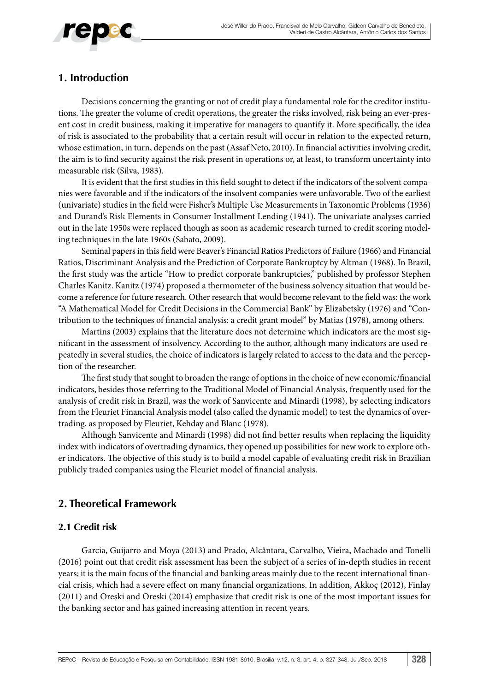

### **1. Introduction**

Decisions concerning the granting or not of credit play a fundamental role for the creditor institutions. The greater the volume of credit operations, the greater the risks involved, risk being an ever-present cost in credit business, making it imperative for managers to quantify it. More specifically, the idea of risk is associated to the probability that a certain result will occur in relation to the expected return, whose estimation, in turn, depends on the past (Assaf Neto, 2010). In financial activities involving credit, the aim is to find security against the risk present in operations or, at least, to transform uncertainty into measurable risk (Silva, 1983).

It is evident that the first studies in this field sought to detect if the indicators of the solvent companies were favorable and if the indicators of the insolvent companies were unfavorable. Two of the earliest (univariate) studies in the field were Fisher's Multiple Use Measurements in Taxonomic Problems (1936) and Durand's Risk Elements in Consumer Installment Lending (1941). The univariate analyses carried out in the late 1950s were replaced though as soon as academic research turned to credit scoring modeling techniques in the late 1960s (Sabato, 2009).

Seminal papers in this field were Beaver's Financial Ratios Predictors of Failure (1966) and Financial Ratios, Discriminant Analysis and the Prediction of Corporate Bankruptcy by Altman (1968). In Brazil, the first study was the article "How to predict corporate bankruptcies," published by professor Stephen Charles Kanitz. Kanitz (1974) proposed a thermometer of the business solvency situation that would become a reference for future research. Other research that would become relevant to the field was: the work "A Mathematical Model for Credit Decisions in the Commercial Bank" by Elizabetsky (1976) and "Contribution to the techniques of financial analysis: a credit grant model" by Matias (1978), among others.

Martins (2003) explains that the literature does not determine which indicators are the most significant in the assessment of insolvency. According to the author, although many indicators are used repeatedly in several studies, the choice of indicators is largely related to access to the data and the perception of the researcher.

The first study that sought to broaden the range of options in the choice of new economic/financial indicators, besides those referring to the Traditional Model of Financial Analysis, frequently used for the analysis of credit risk in Brazil, was the work of Sanvicente and Minardi (1998), by selecting indicators from the Fleuriet Financial Analysis model (also called the dynamic model) to test the dynamics of overtrading, as proposed by Fleuriet, Kehday and Blanc (1978).

Although Sanvicente and Minardi (1998) did not find better results when replacing the liquidity index with indicators of overtrading dynamics, they opened up possibilities for new work to explore other indicators. The objective of this study is to build a model capable of evaluating credit risk in Brazilian publicly traded companies using the Fleuriet model of financial analysis.

### **2. Theoretical Framework**

### **2.1 Credit risk**

Garcia, Guijarro and Moya (2013) and Prado, Alcântara, Carvalho, Vieira, Machado and Tonelli (2016) point out that credit risk assessment has been the subject of a series of in-depth studies in recent years; it is the main focus of the financial and banking areas mainly due to the recent international financial crisis, which had a severe effect on many financial organizations. In addition, Akkoç (2012), Finlay (2011) and Oreski and Oreski (2014) emphasize that credit risk is one of the most important issues for the banking sector and has gained increasing attention in recent years.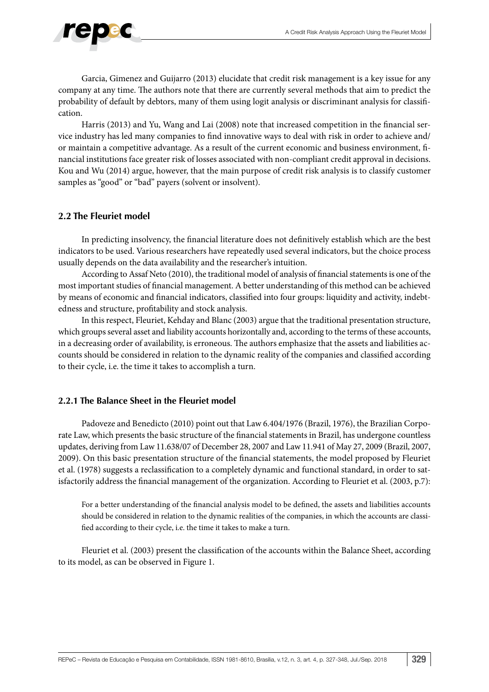

Garcia, Gimenez and Guijarro (2013) elucidate that credit risk management is a key issue for any company at any time. The authors note that there are currently several methods that aim to predict the probability of default by debtors, many of them using logit analysis or discriminant analysis for classification.

Harris (2013) and Yu, Wang and Lai (2008) note that increased competition in the financial service industry has led many companies to find innovative ways to deal with risk in order to achieve and/ or maintain a competitive advantage. As a result of the current economic and business environment, financial institutions face greater risk of losses associated with non-compliant credit approval in decisions. Kou and Wu (2014) argue, however, that the main purpose of credit risk analysis is to classify customer samples as "good" or "bad" payers (solvent or insolvent).

### **2.2 The Fleuriet model**

In predicting insolvency, the financial literature does not definitively establish which are the best indicators to be used. Various researchers have repeatedly used several indicators, but the choice process usually depends on the data availability and the researcher's intuition.

According to Assaf Neto (2010), the traditional model of analysis of financial statements is one of the most important studies of financial management. A better understanding of this method can be achieved by means of economic and financial indicators, classified into four groups: liquidity and activity, indebtedness and structure, profitability and stock analysis.

In this respect, Fleuriet, Kehday and Blanc (2003) argue that the traditional presentation structure, which groups several asset and liability accounts horizontally and, according to the terms of these accounts, in a decreasing order of availability, is erroneous. The authors emphasize that the assets and liabilities accounts should be considered in relation to the dynamic reality of the companies and classified according to their cycle, i.e. the time it takes to accomplish a turn.

### **2.2.1 The Balance Sheet in the Fleuriet model**

Padoveze and Benedicto (2010) point out that Law 6.404/1976 (Brazil, 1976), the Brazilian Corporate Law, which presents the basic structure of the financial statements in Brazil, has undergone countless updates, deriving from Law 11.638/07 of December 28, 2007 and Law 11.941 of May 27, 2009 (Brazil, 2007, 2009). On this basic presentation structure of the financial statements, the model proposed by Fleuriet et al. (1978) suggests a reclassification to a completely dynamic and functional standard, in order to satisfactorily address the financial management of the organization. According to Fleuriet et al. (2003, p.7):

For a better understanding of the financial analysis model to be defined, the assets and liabilities accounts should be considered in relation to the dynamic realities of the companies, in which the accounts are classified according to their cycle, i.e. the time it takes to make a turn.

Fleuriet et al. (2003) present the classification of the accounts within the Balance Sheet, according to its model, as can be observed in Figure 1.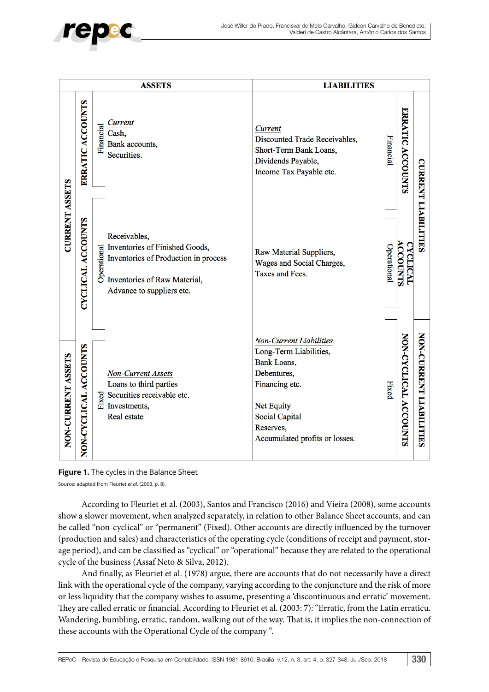

| <b>ASSETS</b>         |                          |                                                                                                                                                                                                                                 | <b>LIABILITIES</b>                                                                                                                                                                        |                                   |                            |  |
|-----------------------|--------------------------|---------------------------------------------------------------------------------------------------------------------------------------------------------------------------------------------------------------------------------|-------------------------------------------------------------------------------------------------------------------------------------------------------------------------------------------|-----------------------------------|----------------------------|--|
|                       | ERRATIC ACCOUNTS         | Current<br>Financial<br>Cash,<br>Bank accounts,<br>Securities.                                                                                                                                                                  | Current<br>Financial<br>Discounted Trade Receivables,<br>Short-Term Bank Loans,<br>Dividends Payable,<br>Income Tax Payable etc.                                                          | <b>ERRATIC</b><br><b>ACCOUNTS</b> |                            |  |
| <b>CURRENT ASSETS</b> | <b>CYCLICAL ACCOUNTS</b> | Receivables,<br>Inventories of Finished Goods,<br>Enventories of Finished Good<br>Inventories of Production in p<br>B<br>D<br>Inventories of Raw Material,<br>Inventories of Production in process<br>Advance to suppliers etc. | Operational<br>Raw Material Suppliers,<br>Wages and Social Charges,<br>Taxes and Fees.                                                                                                    | <b>ACCOUNTS</b><br>CYCLICAL       | <b>CURRENT LIABILITIES</b> |  |
| NON-CURRENT ASSETS    | NON-CYCLICAL ACCOUNTS    | <b>Non-Current Assets</b><br>Loans to third parties<br>$\sum_{i=1}^{10}$ Securities receivable etc.<br>$\sum_{i=1}^{10}$ Investments,<br>Real estate                                                                            | Non-Current Liabilities<br>Long-Term Liabilities,<br>Bank Loans,<br>Debentures,<br>Financing etc.<br>Fixed<br>Net Equity<br>Social Capital<br>Reserves,<br>Accumulated profits or losses. | NON-CYCLICAL ACCOUNTS             | NON-CURRENT LIABILITIES    |  |



Source: adapted from Fleuriet *et al*. (2003, p. 8).

According to Fleuriet et al. (2003), Santos and Francisco (2016) and Vieira (2008), some accounts show a slower movement, when analyzed separately, in relation to other Balance Sheet accounts, and can be called "non-cyclical" or "permanent" (Fixed). Other accounts are directly influenced by the turnover (production and sales) and characteristics of the operating cycle (conditions of receipt and payment, storage period), and can be classified as "cyclical" or "operational" because they are related to the operational cycle of the business (Assaf Neto & Silva, 2012).

And finally, as Fleuriet et al. (1978) argue, there are accounts that do not necessarily have a direct link with the operational cycle of the company, varying according to the conjuncture and the risk of more or less liquidity that the company wishes to assume, presenting a 'discontinuous and erratic' movement. They are called erratic or financial. According to Fleuriet et al. (2003: 7): "Erratic, from the Latin erraticu. Wandering, bumbling, erratic, random, walking out of the way. That is, it implies the non-connection of these accounts with the Operational Cycle of the company ".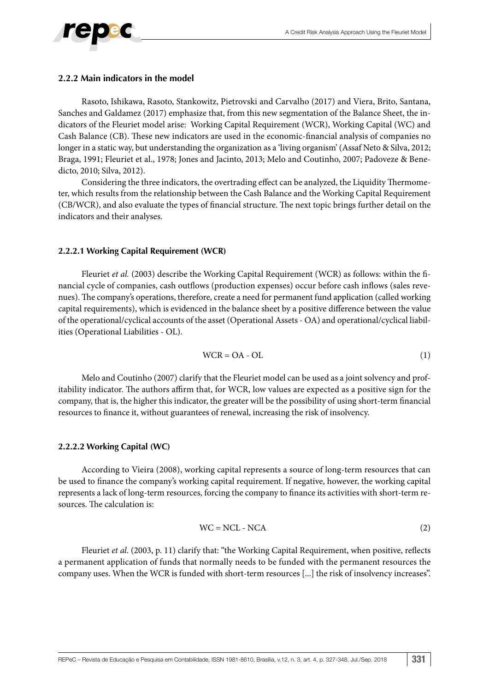

### **2.2.2 Main indicators in the model**

Rasoto, Ishikawa, Rasoto, Stankowitz, Pietrovski and Carvalho (2017) and Viera, Brito, Santana, Sanches and Galdamez (2017) emphasize that, from this new segmentation of the Balance Sheet, the indicators of the Fleuriet model arise: Working Capital Requirement (WCR), Working Capital (WC) and Cash Balance (CB). These new indicators are used in the economic-financial analysis of companies no longer in a static way, but understanding the organization as a 'living organism' (Assaf Neto & Silva, 2012; Braga, 1991; Fleuriet et al., 1978; Jones and Jacinto, 2013; Melo and Coutinho, 2007; Padoveze & Benedicto, 2010; Silva, 2012).

Considering the three indicators, the overtrading effect can be analyzed, the Liquidity Thermometer, which results from the relationship between the Cash Balance and the Working Capital Requirement (CB/WCR), and also evaluate the types of financial structure. The next topic brings further detail on the indicators and their analyses.

### **2.2.2.1 Working Capital Requirement (WCR)**

Fleuriet *et al.* (2003) describe the Working Capital Requirement (WCR) as follows: within the financial cycle of companies, cash outflows (production expenses) occur before cash inflows (sales revenues). The company's operations, therefore, create a need for permanent fund application (called working capital requirements), which is evidenced in the balance sheet by a positive difference between the value of the operational/cyclical accounts of the asset (Operational Assets - OA) and operational/cyclical liabilities (Operational Liabilities - OL).

$$
WCR = OA - OL \tag{1}
$$

Melo and Coutinho (2007) clarify that the Fleuriet model can be used as a joint solvency and profitability indicator. The authors affirm that, for WCR, low values are expected as a positive sign for the company, that is, the higher this indicator, the greater will be the possibility of using short-term financial resources to finance it, without guarantees of renewal, increasing the risk of insolvency.

### **2.2.2.2 Working Capital (WC)**

According to Vieira (2008), working capital represents a source of long-term resources that can be used to finance the company's working capital requirement. If negative, however, the working capital represents a lack of long-term resources, forcing the company to finance its activities with short-term resources. The calculation is:

$$
WC = NCL - NCA
$$
 (2)

Fleuriet *et al*. (2003, p. 11) clarify that: "the Working Capital Requirement, when positive, reflects a permanent application of funds that normally needs to be funded with the permanent resources the company uses. When the WCR is funded with short-term resources [...] the risk of insolvency increases".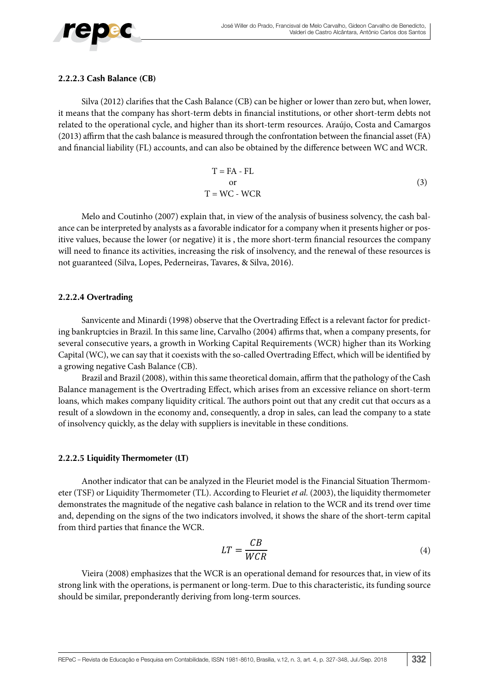

#### **2.2.2.3 Cash Balance (CB)**

Silva (2012) clarifies that the Cash Balance (CB) can be higher or lower than zero but, when lower, it means that the company has short-term debts in financial institutions, or other short-term debts not related to the operational cycle, and higher than its short-term resources. Araújo, Costa and Camargos (2013) affirm that the cash balance is measured through the confrontation between the financial asset (FA) and financial liability (FL) accounts, and can also be obtained by the difference between WC and WCR.

$$
T = FA - FL
$$
  
or  

$$
T = WC - WCR
$$
 (3)

Melo and Coutinho (2007) explain that, in view of the analysis of business solvency, the cash balance can be interpreted by analysts as a favorable indicator for a company when it presents higher or positive values, because the lower (or negative) it is , the more short-term financial resources the company will need to finance its activities, increasing the risk of insolvency, and the renewal of these resources is not guaranteed (Silva, Lopes, Pederneiras, Tavares, & Silva, 2016).

### **2.2.2.4 Overtrading**

Sanvicente and Minardi (1998) observe that the Overtrading Effect is a relevant factor for predicting bankruptcies in Brazil. In this same line, Carvalho (2004) affirms that, when a company presents, for several consecutive years, a growth in Working Capital Requirements (WCR) higher than its Working Capital (WC), we can say that it coexists with the so-called Overtrading Effect, which will be identified by a growing negative Cash Balance (CB).

Brazil and Brazil (2008), within this same theoretical domain, affirm that the pathology of the Cash Balance management is the Overtrading Effect, which arises from an excessive reliance on short-term loans, which makes company liquidity critical. The authors point out that any credit cut that occurs as a result of a slowdown in the economy and, consequently, a drop in sales, can lead the company to a state of insolvency quickly, as the delay with suppliers is inevitable in these conditions.

### **2.2.2.5 Liquidity Thermometer (LT)**

Another indicator that can be analyzed in the Fleuriet model is the Financial Situation Thermometer (TSF) or Liquidity Thermometer (TL). According to Fleuriet *et al.* (2003), the liquidity thermometer demonstrates the magnitude of the negative cash balance in relation to the WCR and its trend over time and, depending on the signs of the two indicators involved, it shows the share of the short-term capital from third parties that finance the WCR.

$$
LT = \frac{CB}{WCR} \tag{4}
$$

Vieira (2008) emphasizes that the WCR is an operational demand for resources that, in view of its strong link with the operations, is permanent or long-term. Due to this characteristic, its funding source should be similar, preponderantly deriving from long-term sources.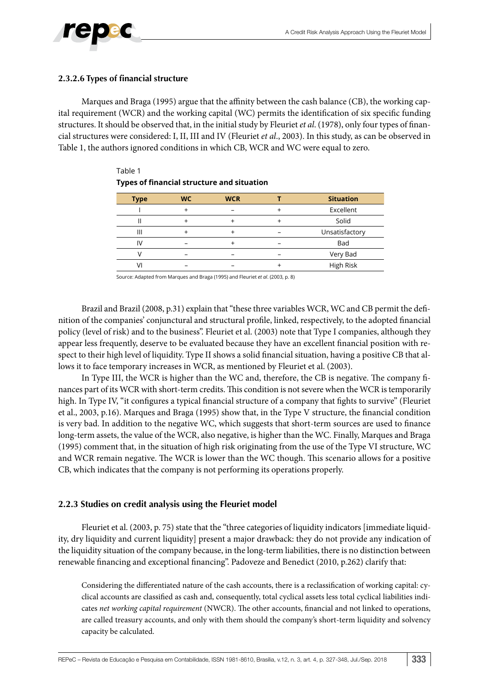

### **2.3.2.6 Types of financial structure**

Marques and Braga (1995) argue that the affinity between the cash balance (CB), the working capital requirement (WCR) and the working capital (WC) permits the identification of six specific funding structures. It should be observed that, in the initial study by Fleuriet *et al*. (1978), only four types of financial structures were considered: I, II, III and IV (Fleuriet *et al*., 2003). In this study, as can be observed in Table 1, the authors ignored conditions in which CB, WCR and WC were equal to zero.

| <b>Type</b> | <b>WC</b> | <b>WCR</b> | <b>Situation</b> |
|-------------|-----------|------------|------------------|
|             |           |            | Excellent        |
|             |           |            | Solid            |
| Ш           |           |            | Unsatisfactory   |
| I٧          |           |            | Bad              |
|             |           |            | Very Bad         |
|             |           |            | High Risk        |

Table 1 **Types of financial structure and situation**

Source: Adapted from Marques and Braga (1995) and Fleuriet *et al*. (2003, p. 8)

Brazil and Brazil (2008, p.31) explain that "these three variables WCR, WC and CB permit the definition of the companies' conjunctural and structural profile, linked, respectively, to the adopted financial policy (level of risk) and to the business". Fleuriet et al. (2003) note that Type I companies, although they appear less frequently, deserve to be evaluated because they have an excellent financial position with respect to their high level of liquidity. Type II shows a solid financial situation, having a positive CB that allows it to face temporary increases in WCR, as mentioned by Fleuriet et al. (2003).

In Type III, the WCR is higher than the WC and, therefore, the CB is negative. The company finances part of its WCR with short-term credits. This condition is not severe when the WCR is temporarily high. In Type IV, "it configures a typical financial structure of a company that fights to survive" (Fleuriet et al., 2003, p.16). Marques and Braga (1995) show that, in the Type V structure, the financial condition is very bad. In addition to the negative WC, which suggests that short-term sources are used to finance long-term assets, the value of the WCR, also negative, is higher than the WC. Finally, Marques and Braga (1995) comment that, in the situation of high risk originating from the use of the Type VI structure, WC and WCR remain negative. The WCR is lower than the WC though. This scenario allows for a positive CB, which indicates that the company is not performing its operations properly.

### **2.2.3 Studies on credit analysis using the Fleuriet model**

Fleuriet et al. (2003, p. 75) state that the "three categories of liquidity indicators [immediate liquidity, dry liquidity and current liquidity] present a major drawback: they do not provide any indication of the liquidity situation of the company because, in the long-term liabilities, there is no distinction between renewable financing and exceptional financing". Padoveze and Benedict (2010, p.262) clarify that:

Considering the differentiated nature of the cash accounts, there is a reclassification of working capital: cyclical accounts are classified as cash and, consequently, total cyclical assets less total cyclical liabilities indicates *net working capital requirement* (NWCR). The other accounts, financial and not linked to operations, are called treasury accounts, and only with them should the company's short-term liquidity and solvency capacity be calculated.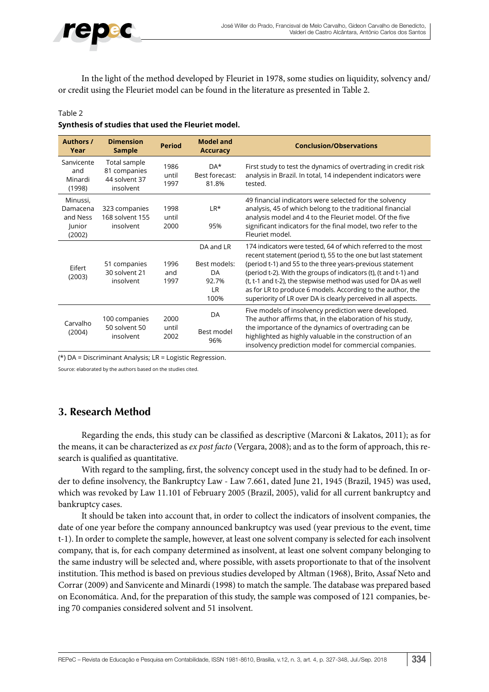

In the light of the method developed by Fleuriet in 1978, some studies on liquidity, solvency and/ or credit using the Fleuriet model can be found in the literature as presented in Table 2.

#### Table 2

#### **Synthesis of studies that used the Fleuriet model.**

| <b>Authors /</b><br>Year                             | <b>Dimension</b><br><b>Sample</b>                          | <b>Period</b>         | <b>Model and</b><br><b>Accuracy</b>                           | <b>Conclusion/Observations</b>                                                                                                                                                                                                                                                                                                                                                                                                                                   |
|------------------------------------------------------|------------------------------------------------------------|-----------------------|---------------------------------------------------------------|------------------------------------------------------------------------------------------------------------------------------------------------------------------------------------------------------------------------------------------------------------------------------------------------------------------------------------------------------------------------------------------------------------------------------------------------------------------|
| Sanvicente<br>and<br>Minardi<br>(1998)               | Total sample<br>81 companies<br>44 solvent 37<br>insolvent | 1986<br>until<br>1997 | DA*<br>Best forecast:<br>81.8%                                | First study to test the dynamics of overtrading in credit risk<br>analysis in Brazil. In total, 14 independent indicators were<br>tested.                                                                                                                                                                                                                                                                                                                        |
| Minussi,<br>Damacena<br>and Ness<br>Junior<br>(2002) | 323 companies<br>168 solvent 155<br>insolvent              | 1998<br>until<br>2000 | $LR*$<br>95%                                                  | 49 financial indicators were selected for the solvency<br>analysis, 45 of which belong to the traditional financial<br>analysis model and 4 to the Fleuriet model. Of the five<br>significant indicators for the final model, two refer to the<br>Fleuriet model.                                                                                                                                                                                                |
| Eifert<br>(2003)                                     | 51 companies<br>30 solvent 21<br>insolvent                 | 1996<br>and<br>1997   | DA and LR<br>Best models:<br>DA<br>92.7%<br><b>LR</b><br>100% | 174 indicators were tested, 64 of which referred to the most<br>recent statement (period t), 55 to the one but last statement<br>(period t-1) and 55 to the three years-previous statement<br>(period t-2). With the groups of indicators (t), (t and t-1) and<br>(t, t-1 and t-2), the stepwise method was used for DA as well<br>as for LR to produce 6 models. According to the author, the<br>superiority of LR over DA is clearly perceived in all aspects. |
| Carvalho<br>(2004)                                   | 100 companies<br>50 solvent 50<br>insolvent                | 2000<br>until<br>2002 | DA<br>Best model<br>96%                                       | Five models of insolvency prediction were developed.<br>The author affirms that, in the elaboration of his study,<br>the importance of the dynamics of overtrading can be<br>highlighted as highly valuable in the construction of an<br>insolvency prediction model for commercial companies.                                                                                                                                                                   |

(\*) DA = Discriminant Analysis; LR = Logistic Regression.

Source: elaborated by the authors based on the studies cited.

### **3. Research Method**

Regarding the ends, this study can be classified as descriptive (Marconi & Lakatos, 2011); as for the means, it can be characterized as *ex post facto* (Vergara, 2008); and as to the form of approach, this research is qualified as quantitative.

With regard to the sampling, first, the solvency concept used in the study had to be defined. In order to define insolvency, the Bankruptcy Law - Law 7.661, dated June 21, 1945 (Brazil, 1945) was used, which was revoked by Law 11.101 of February 2005 (Brazil, 2005), valid for all current bankruptcy and bankruptcy cases.

It should be taken into account that, in order to collect the indicators of insolvent companies, the date of one year before the company announced bankruptcy was used (year previous to the event, time t-1). In order to complete the sample, however, at least one solvent company is selected for each insolvent company, that is, for each company determined as insolvent, at least one solvent company belonging to the same industry will be selected and, where possible, with assets proportionate to that of the insolvent institution. This method is based on previous studies developed by Altman (1968), Brito, Assaf Neto and Corrar (2009) and Sanvicente and Minardi (1998) to match the sample. The database was prepared based on Economática. And, for the preparation of this study, the sample was composed of 121 companies, being 70 companies considered solvent and 51 insolvent.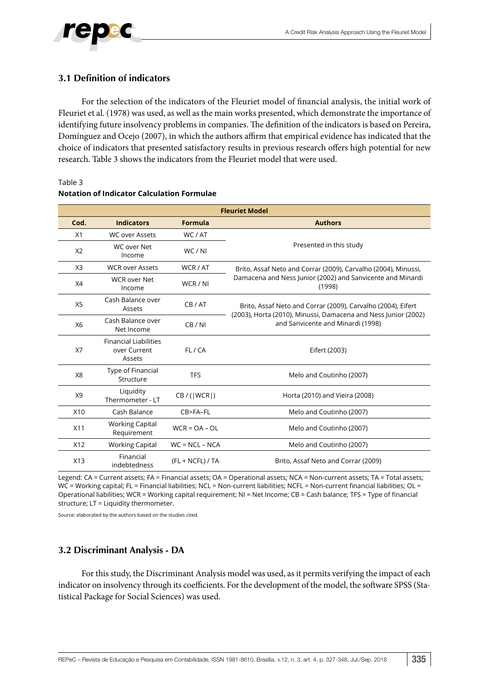### **3.1 Definition of indicators**

Table 3

For the selection of the indicators of the Fleuriet model of financial analysis, the initial work of Fleuriet et al. (1978) was used, as well as the main works presented, which demonstrate the importance of identifying future insolvency problems in companies. The definition of the indicators is based on Pereira, Domínguez and Ocejo (2007), in which the authors affirm that empirical evidence has indicated that the choice of indicators that presented satisfactory results in previous research offers high potential for new research. Table 3 shows the indicators from the Fleuriet model that were used.

|                |                                                        |                    | <b>Fleuriet Model</b>                                                                               |  |  |  |  |  |
|----------------|--------------------------------------------------------|--------------------|-----------------------------------------------------------------------------------------------------|--|--|--|--|--|
| Cod.           | <b>Indicators</b>                                      | Formula            | <b>Authors</b>                                                                                      |  |  |  |  |  |
| X1             | <b>WC over Assets</b>                                  | WC/AT              |                                                                                                     |  |  |  |  |  |
| X <sub>2</sub> | WC over Net<br>Income                                  | WC/NI              | Presented in this study                                                                             |  |  |  |  |  |
| X <sub>3</sub> | <b>WCR over Assets</b>                                 | WCR / AT           | Brito, Assaf Neto and Corrar (2009), Carvalho (2004), Minussi,                                      |  |  |  |  |  |
| X4             | <b>WCR over Net</b><br>Income                          | WCR / NI           | Damacena and Ness Junior (2002) and Sanvicente and Minardi<br>(1998)                                |  |  |  |  |  |
| X5             | Cash Balance over<br>Assets                            | CB / AT            | Brito, Assaf Neto and Corrar (2009), Carvalho (2004), Eifert                                        |  |  |  |  |  |
| X6             | Cash Balance over<br>Net Income                        | CB / NI            | (2003), Horta (2010), Minussi, Damacena and Ness Junior (2002)<br>and Sanvicente and Minardi (1998) |  |  |  |  |  |
| X7             | <b>Financial Liabilities</b><br>over Current<br>Assets | FL/CA              | Eifert (2003)                                                                                       |  |  |  |  |  |
| X <sub>8</sub> | Type of Financial<br>Structure                         | <b>TFS</b>         | Melo and Coutinho (2007)                                                                            |  |  |  |  |  |
| X9             | Liquidity<br>Thermometer - LT                          | CB / ( WCR )       | Horta (2010) and Vieira (2008)                                                                      |  |  |  |  |  |
| X10            | Cash Balance                                           | CB=FA-FL           | Melo and Coutinho (2007)                                                                            |  |  |  |  |  |
| X11            | <b>Working Capital</b><br>Requirement                  | $WCR = OA - OL$    | Melo and Coutinho (2007)                                                                            |  |  |  |  |  |
| X12            | <b>Working Capital</b>                                 | $WC = NCL - NCA$   | Melo and Coutinho (2007)                                                                            |  |  |  |  |  |
| X13            | Financial<br>indebtedness                              | $(FL + NCFL) / TA$ | Brito, Assaf Neto and Corrar (2009)                                                                 |  |  |  |  |  |

#### **Notation of Indicator Calculation Formulae**

Legend: CA = Current assets; FA = Financial assets; OA = Operational assets; NCA = Non-current assets; TA = Total assets; WC = Working capital; FL = Financial liabilities; NCL = Non-current liabilities; NCFL = Non-current financial liabilities; OL = Operational liabilities; WCR = Working capital requirement; NI = Net Income; CB = Cash balance; TFS = Type of financial structure; LT = Liquidity thermometer.

Source: elaborated by the authors based on the studies cited.

### **3.2 Discriminant Analysis - DA**

For this study, the Discriminant Analysis model was used, as it permits verifying the impact of each indicator on insolvency through its coefficients. For the development of the model, the software SPSS (Statistical Package for Social Sciences) was used.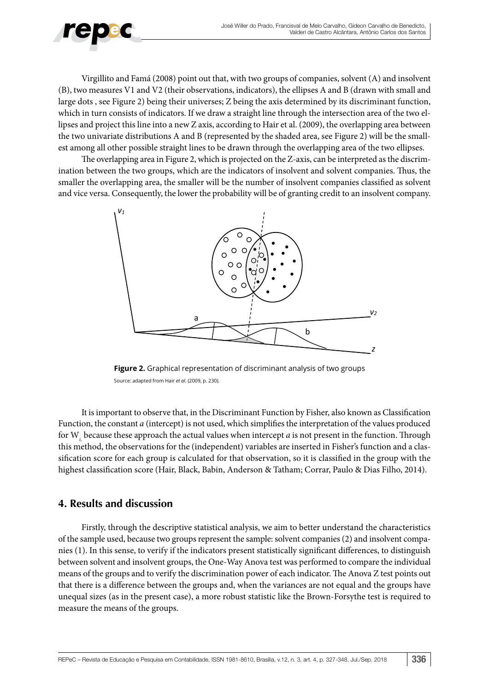

Virgillito and Famá (2008) point out that, with two groups of companies, solvent (A) and insolvent (B), two measures V1 and V2 (their observations, indicators), the ellipses A and B (drawn with small and large dots , see Figure 2) being their universes; Z being the axis determined by its discriminant function, which in turn consists of indicators. If we draw a straight line through the intersection area of the two ellipses and project this line into a new Z axis, according to Hair et al. (2009), the overlapping area between the two univariate distributions A and B (represented by the shaded area, see Figure 2) will be the smallest among all other possible straight lines to be drawn through the overlapping area of the two ellipses.

The overlapping area in Figure 2, which is projected on the Z-axis, can be interpreted as the discrimination between the two groups, which are the indicators of insolvent and solvent companies. Thus, the smaller the overlapping area, the smaller will be the number of insolvent companies classified as solvent and vice versa. Consequently, the lower the probability will be of granting credit to an insolvent company.



**Figure 2.** Graphical representation of discriminant analysis of two groups Source: adapted from Hair *et al.* (2009, p. 230).

It is important to observe that, in the Discriminant Function by Fisher, also known as Classification Function, the constant *a* (intercept) is not used, which simplifies the interpretation of the values produced for W*i,* because these approach the actual values when intercept *a* is not present in the function. Through this method, the observations for the (independent) variables are inserted in Fisher's function and a classification score for each group is calculated for that observation, so it is classified in the group with the highest classification score (Hair, Black, Babin, Anderson & Tatham; Corrar, Paulo & Dias Filho, 2014).

### **4. Results and discussion**

Firstly, through the descriptive statistical analysis, we aim to better understand the characteristics of the sample used, because two groups represent the sample: solvent companies (2) and insolvent companies (1). In this sense, to verify if the indicators present statistically significant differences, to distinguish between solvent and insolvent groups, the One-Way Anova test was performed to compare the individual means of the groups and to verify the discrimination power of each indicator. The Anova Z test points out that there is a difference between the groups and, when the variances are not equal and the groups have unequal sizes (as in the present case), a more robust statistic like the Brown-Forsythe test is required to measure the means of the groups.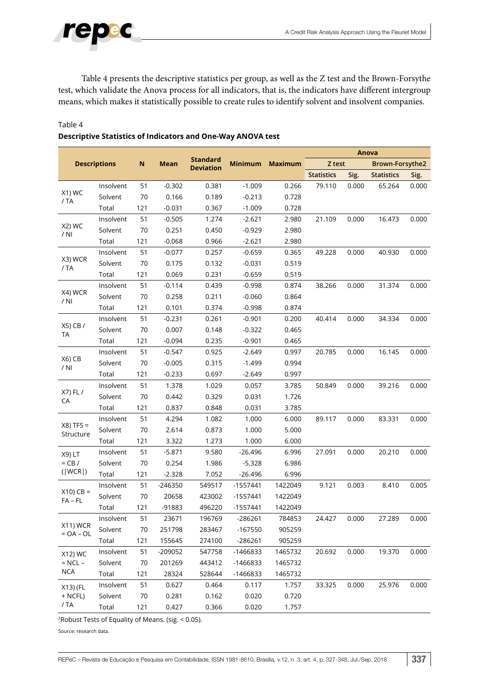

Table 4 presents the descriptive statistics per group, as well as the Z test and the Brown-Forsythe test, which validate the Anova process for all indicators, that is, the indicators have different intergroup means, which makes it statistically possible to create rules to identify solvent and insolvent companies.

### Table 4

| <b>Descriptions</b><br><b>Minimum</b><br><b>Maximum</b><br>Z test<br>N<br><b>Mean</b><br>Brown-Forsythe2<br><b>Deviation</b><br><b>Statistics</b><br>Sig.<br><b>Statistics</b><br>Sig.<br>0.381<br>Insolvent<br>51<br>$-0.302$<br>$-1.009$<br>0.266<br>79.110<br>0.000<br>65.264<br>0.000<br>X1) WC<br>Solvent<br>70<br>0.166<br>0.189<br>$-0.213$<br>0.728<br>/ TA<br>121<br>$-0.031$<br>0.367<br>Total<br>$-1.009$<br>0.728<br>51<br>16.473<br>Insolvent<br>$-0.505$<br>1.274<br>$-2.621$<br>2.980<br>21.109<br>0.000<br>0.000<br>X2) WC<br>70<br>0.251<br>2.980<br>Solvent<br>0.450<br>$-0.929$<br>/ NI<br>121<br>$-0.068$<br>Total<br>0.966<br>$-2.621$<br>2.980<br>Insolvent<br>51<br>$-0.077$<br>0.257<br>$-0.659$<br>0.365<br>49.228<br>0.000<br>40.930<br>0.000<br>X3) WCR<br>Solvent<br>70<br>0.175<br>0.132<br>$-0.031$<br>0.519<br>/ TA<br>121<br>Total<br>0.069<br>0.231<br>$-0.659$<br>0.519<br>Insolvent<br>51<br>$-0.114$<br>0.439<br>$-0.998$<br>0.874<br>38.266<br>0.000<br>31.374<br>0.000<br>X4) WCR<br>Solvent<br>70<br>0.211<br>0.258<br>$-0.060$<br>0.864<br>$/$ NI<br>121<br>Total<br>0.101<br>0.374<br>$-0.998$<br>0.874<br>51<br>34.334<br>Insolvent<br>$-0.231$<br>0.261<br>0.200<br>40.414<br>0.000<br>0.000<br>$-0.901$<br>X5) CB /<br>Solvent<br>70<br>0.007<br>0.148<br>$-0.322$<br>0.465<br><b>TA</b><br>121<br>Total<br>$-0.094$<br>0.235<br>$-0.901$<br>0.465<br>51<br>16.145<br>Insolvent<br>$-0.547$<br>0.925<br>$-2.649$<br>0.997<br>20.785<br>0.000<br>0.000<br>X6) CB<br>70<br>Solvent<br>$-0.005$<br>0.315<br>$-1.499$<br>0.994<br>$/$ NI<br>121<br>0.697<br>Total<br>$-0.233$<br>$-2.649$<br>0.997<br>51<br>1.378<br>Insolvent<br>1.029<br>0.057<br>3.785<br>50.849<br>0.000<br>39.216<br>0.000<br>X7) FL /<br>Solvent<br>70<br>0.442<br>0.329<br>0.031<br>1.726<br>CA<br>Total<br>121<br>0.837<br>0.848<br>0.031<br>3.785<br>51<br>4.294<br>89.117<br>Insolvent<br>1.082<br>1.000<br>6.000<br>0.000<br>83.331<br>0.000 |              |  |  |  |                 |  | Anova |  |  |  |  |
|-----------------------------------------------------------------------------------------------------------------------------------------------------------------------------------------------------------------------------------------------------------------------------------------------------------------------------------------------------------------------------------------------------------------------------------------------------------------------------------------------------------------------------------------------------------------------------------------------------------------------------------------------------------------------------------------------------------------------------------------------------------------------------------------------------------------------------------------------------------------------------------------------------------------------------------------------------------------------------------------------------------------------------------------------------------------------------------------------------------------------------------------------------------------------------------------------------------------------------------------------------------------------------------------------------------------------------------------------------------------------------------------------------------------------------------------------------------------------------------------------------------------------------------------------------------------------------------------------------------------------------------------------------------------------------------------------------------------------------------------------------------------------------------------------------------------------------------------------------------------------------------------------------------------------------------------------------------------|--------------|--|--|--|-----------------|--|-------|--|--|--|--|
|                                                                                                                                                                                                                                                                                                                                                                                                                                                                                                                                                                                                                                                                                                                                                                                                                                                                                                                                                                                                                                                                                                                                                                                                                                                                                                                                                                                                                                                                                                                                                                                                                                                                                                                                                                                                                                                                                                                                                                 |              |  |  |  | <b>Standard</b> |  |       |  |  |  |  |
|                                                                                                                                                                                                                                                                                                                                                                                                                                                                                                                                                                                                                                                                                                                                                                                                                                                                                                                                                                                                                                                                                                                                                                                                                                                                                                                                                                                                                                                                                                                                                                                                                                                                                                                                                                                                                                                                                                                                                                 |              |  |  |  |                 |  |       |  |  |  |  |
|                                                                                                                                                                                                                                                                                                                                                                                                                                                                                                                                                                                                                                                                                                                                                                                                                                                                                                                                                                                                                                                                                                                                                                                                                                                                                                                                                                                                                                                                                                                                                                                                                                                                                                                                                                                                                                                                                                                                                                 |              |  |  |  |                 |  |       |  |  |  |  |
|                                                                                                                                                                                                                                                                                                                                                                                                                                                                                                                                                                                                                                                                                                                                                                                                                                                                                                                                                                                                                                                                                                                                                                                                                                                                                                                                                                                                                                                                                                                                                                                                                                                                                                                                                                                                                                                                                                                                                                 |              |  |  |  |                 |  |       |  |  |  |  |
|                                                                                                                                                                                                                                                                                                                                                                                                                                                                                                                                                                                                                                                                                                                                                                                                                                                                                                                                                                                                                                                                                                                                                                                                                                                                                                                                                                                                                                                                                                                                                                                                                                                                                                                                                                                                                                                                                                                                                                 |              |  |  |  |                 |  |       |  |  |  |  |
|                                                                                                                                                                                                                                                                                                                                                                                                                                                                                                                                                                                                                                                                                                                                                                                                                                                                                                                                                                                                                                                                                                                                                                                                                                                                                                                                                                                                                                                                                                                                                                                                                                                                                                                                                                                                                                                                                                                                                                 |              |  |  |  |                 |  |       |  |  |  |  |
|                                                                                                                                                                                                                                                                                                                                                                                                                                                                                                                                                                                                                                                                                                                                                                                                                                                                                                                                                                                                                                                                                                                                                                                                                                                                                                                                                                                                                                                                                                                                                                                                                                                                                                                                                                                                                                                                                                                                                                 |              |  |  |  |                 |  |       |  |  |  |  |
|                                                                                                                                                                                                                                                                                                                                                                                                                                                                                                                                                                                                                                                                                                                                                                                                                                                                                                                                                                                                                                                                                                                                                                                                                                                                                                                                                                                                                                                                                                                                                                                                                                                                                                                                                                                                                                                                                                                                                                 |              |  |  |  |                 |  |       |  |  |  |  |
|                                                                                                                                                                                                                                                                                                                                                                                                                                                                                                                                                                                                                                                                                                                                                                                                                                                                                                                                                                                                                                                                                                                                                                                                                                                                                                                                                                                                                                                                                                                                                                                                                                                                                                                                                                                                                                                                                                                                                                 |              |  |  |  |                 |  |       |  |  |  |  |
|                                                                                                                                                                                                                                                                                                                                                                                                                                                                                                                                                                                                                                                                                                                                                                                                                                                                                                                                                                                                                                                                                                                                                                                                                                                                                                                                                                                                                                                                                                                                                                                                                                                                                                                                                                                                                                                                                                                                                                 |              |  |  |  |                 |  |       |  |  |  |  |
|                                                                                                                                                                                                                                                                                                                                                                                                                                                                                                                                                                                                                                                                                                                                                                                                                                                                                                                                                                                                                                                                                                                                                                                                                                                                                                                                                                                                                                                                                                                                                                                                                                                                                                                                                                                                                                                                                                                                                                 |              |  |  |  |                 |  |       |  |  |  |  |
|                                                                                                                                                                                                                                                                                                                                                                                                                                                                                                                                                                                                                                                                                                                                                                                                                                                                                                                                                                                                                                                                                                                                                                                                                                                                                                                                                                                                                                                                                                                                                                                                                                                                                                                                                                                                                                                                                                                                                                 |              |  |  |  |                 |  |       |  |  |  |  |
|                                                                                                                                                                                                                                                                                                                                                                                                                                                                                                                                                                                                                                                                                                                                                                                                                                                                                                                                                                                                                                                                                                                                                                                                                                                                                                                                                                                                                                                                                                                                                                                                                                                                                                                                                                                                                                                                                                                                                                 |              |  |  |  |                 |  |       |  |  |  |  |
|                                                                                                                                                                                                                                                                                                                                                                                                                                                                                                                                                                                                                                                                                                                                                                                                                                                                                                                                                                                                                                                                                                                                                                                                                                                                                                                                                                                                                                                                                                                                                                                                                                                                                                                                                                                                                                                                                                                                                                 |              |  |  |  |                 |  |       |  |  |  |  |
|                                                                                                                                                                                                                                                                                                                                                                                                                                                                                                                                                                                                                                                                                                                                                                                                                                                                                                                                                                                                                                                                                                                                                                                                                                                                                                                                                                                                                                                                                                                                                                                                                                                                                                                                                                                                                                                                                                                                                                 |              |  |  |  |                 |  |       |  |  |  |  |
|                                                                                                                                                                                                                                                                                                                                                                                                                                                                                                                                                                                                                                                                                                                                                                                                                                                                                                                                                                                                                                                                                                                                                                                                                                                                                                                                                                                                                                                                                                                                                                                                                                                                                                                                                                                                                                                                                                                                                                 |              |  |  |  |                 |  |       |  |  |  |  |
|                                                                                                                                                                                                                                                                                                                                                                                                                                                                                                                                                                                                                                                                                                                                                                                                                                                                                                                                                                                                                                                                                                                                                                                                                                                                                                                                                                                                                                                                                                                                                                                                                                                                                                                                                                                                                                                                                                                                                                 |              |  |  |  |                 |  |       |  |  |  |  |
|                                                                                                                                                                                                                                                                                                                                                                                                                                                                                                                                                                                                                                                                                                                                                                                                                                                                                                                                                                                                                                                                                                                                                                                                                                                                                                                                                                                                                                                                                                                                                                                                                                                                                                                                                                                                                                                                                                                                                                 |              |  |  |  |                 |  |       |  |  |  |  |
|                                                                                                                                                                                                                                                                                                                                                                                                                                                                                                                                                                                                                                                                                                                                                                                                                                                                                                                                                                                                                                                                                                                                                                                                                                                                                                                                                                                                                                                                                                                                                                                                                                                                                                                                                                                                                                                                                                                                                                 |              |  |  |  |                 |  |       |  |  |  |  |
|                                                                                                                                                                                                                                                                                                                                                                                                                                                                                                                                                                                                                                                                                                                                                                                                                                                                                                                                                                                                                                                                                                                                                                                                                                                                                                                                                                                                                                                                                                                                                                                                                                                                                                                                                                                                                                                                                                                                                                 |              |  |  |  |                 |  |       |  |  |  |  |
|                                                                                                                                                                                                                                                                                                                                                                                                                                                                                                                                                                                                                                                                                                                                                                                                                                                                                                                                                                                                                                                                                                                                                                                                                                                                                                                                                                                                                                                                                                                                                                                                                                                                                                                                                                                                                                                                                                                                                                 |              |  |  |  |                 |  |       |  |  |  |  |
|                                                                                                                                                                                                                                                                                                                                                                                                                                                                                                                                                                                                                                                                                                                                                                                                                                                                                                                                                                                                                                                                                                                                                                                                                                                                                                                                                                                                                                                                                                                                                                                                                                                                                                                                                                                                                                                                                                                                                                 |              |  |  |  |                 |  |       |  |  |  |  |
|                                                                                                                                                                                                                                                                                                                                                                                                                                                                                                                                                                                                                                                                                                                                                                                                                                                                                                                                                                                                                                                                                                                                                                                                                                                                                                                                                                                                                                                                                                                                                                                                                                                                                                                                                                                                                                                                                                                                                                 |              |  |  |  |                 |  |       |  |  |  |  |
|                                                                                                                                                                                                                                                                                                                                                                                                                                                                                                                                                                                                                                                                                                                                                                                                                                                                                                                                                                                                                                                                                                                                                                                                                                                                                                                                                                                                                                                                                                                                                                                                                                                                                                                                                                                                                                                                                                                                                                 |              |  |  |  |                 |  |       |  |  |  |  |
| Solvent<br>70<br>2.614<br>0.873<br>1.000<br>5.000                                                                                                                                                                                                                                                                                                                                                                                                                                                                                                                                                                                                                                                                                                                                                                                                                                                                                                                                                                                                                                                                                                                                                                                                                                                                                                                                                                                                                                                                                                                                                                                                                                                                                                                                                                                                                                                                                                               | $X8$ ) TFS = |  |  |  |                 |  |       |  |  |  |  |
| Structure<br>Total<br>121<br>3.322<br>1.273<br>1.000<br>6.000                                                                                                                                                                                                                                                                                                                                                                                                                                                                                                                                                                                                                                                                                                                                                                                                                                                                                                                                                                                                                                                                                                                                                                                                                                                                                                                                                                                                                                                                                                                                                                                                                                                                                                                                                                                                                                                                                                   |              |  |  |  |                 |  |       |  |  |  |  |
| 51<br>27.091<br>20.210<br>0.000<br>Insolvent<br>$-5.871$<br>9.580<br>$-26.496$<br>6.996<br>0.000<br>X9) LT                                                                                                                                                                                                                                                                                                                                                                                                                                                                                                                                                                                                                                                                                                                                                                                                                                                                                                                                                                                                                                                                                                                                                                                                                                                                                                                                                                                                                                                                                                                                                                                                                                                                                                                                                                                                                                                      |              |  |  |  |                 |  |       |  |  |  |  |
| $=$ CB $/$<br>Solvent<br>0.254<br>6.986<br>70<br>1.986<br>$-5.328$                                                                                                                                                                                                                                                                                                                                                                                                                                                                                                                                                                                                                                                                                                                                                                                                                                                                                                                                                                                                                                                                                                                                                                                                                                                                                                                                                                                                                                                                                                                                                                                                                                                                                                                                                                                                                                                                                              |              |  |  |  |                 |  |       |  |  |  |  |
| ( WCR )<br>121<br>Total<br>$-2.328$<br>7.052<br>$-26.496$<br>6.996                                                                                                                                                                                                                                                                                                                                                                                                                                                                                                                                                                                                                                                                                                                                                                                                                                                                                                                                                                                                                                                                                                                                                                                                                                                                                                                                                                                                                                                                                                                                                                                                                                                                                                                                                                                                                                                                                              |              |  |  |  |                 |  |       |  |  |  |  |
| 51<br>$-246350$<br>549517<br>$-1557441$<br>1422049<br>9.121<br>0.003<br>8.410<br>0.005<br>Insolvent                                                                                                                                                                                                                                                                                                                                                                                                                                                                                                                                                                                                                                                                                                                                                                                                                                                                                                                                                                                                                                                                                                                                                                                                                                                                                                                                                                                                                                                                                                                                                                                                                                                                                                                                                                                                                                                             |              |  |  |  |                 |  |       |  |  |  |  |
| $X10$ ) CB =<br>Solvent<br>70<br>20658<br>423002<br>$-1557441$<br>1422049                                                                                                                                                                                                                                                                                                                                                                                                                                                                                                                                                                                                                                                                                                                                                                                                                                                                                                                                                                                                                                                                                                                                                                                                                                                                                                                                                                                                                                                                                                                                                                                                                                                                                                                                                                                                                                                                                       |              |  |  |  |                 |  |       |  |  |  |  |
| $FA$ – $FL$<br>121<br>Total<br>$-91883$<br>496220<br>$-1557441$<br>1422049                                                                                                                                                                                                                                                                                                                                                                                                                                                                                                                                                                                                                                                                                                                                                                                                                                                                                                                                                                                                                                                                                                                                                                                                                                                                                                                                                                                                                                                                                                                                                                                                                                                                                                                                                                                                                                                                                      |              |  |  |  |                 |  |       |  |  |  |  |
| 784853<br>23671<br>196769<br>$-286261$<br>0.000<br>Insolvent<br>51<br>24.427<br>0.000<br>27.289                                                                                                                                                                                                                                                                                                                                                                                                                                                                                                                                                                                                                                                                                                                                                                                                                                                                                                                                                                                                                                                                                                                                                                                                                                                                                                                                                                                                                                                                                                                                                                                                                                                                                                                                                                                                                                                                 |              |  |  |  |                 |  |       |  |  |  |  |
| X11) WCR<br>Solvent<br>283467<br>$-167550$<br>905259<br>70<br>251798                                                                                                                                                                                                                                                                                                                                                                                                                                                                                                                                                                                                                                                                                                                                                                                                                                                                                                                                                                                                                                                                                                                                                                                                                                                                                                                                                                                                                                                                                                                                                                                                                                                                                                                                                                                                                                                                                            |              |  |  |  |                 |  |       |  |  |  |  |
| $= OA - OL$<br>905259<br>Total<br>121<br>155645<br>274100<br>$-286261$                                                                                                                                                                                                                                                                                                                                                                                                                                                                                                                                                                                                                                                                                                                                                                                                                                                                                                                                                                                                                                                                                                                                                                                                                                                                                                                                                                                                                                                                                                                                                                                                                                                                                                                                                                                                                                                                                          |              |  |  |  |                 |  |       |  |  |  |  |
| Insolvent<br>$-209052$<br>-1466833<br>1465732<br>19.370<br>0.000<br>51<br>547758<br>20.692<br>0.000<br>X12) WC                                                                                                                                                                                                                                                                                                                                                                                                                                                                                                                                                                                                                                                                                                                                                                                                                                                                                                                                                                                                                                                                                                                                                                                                                                                                                                                                                                                                                                                                                                                                                                                                                                                                                                                                                                                                                                                  |              |  |  |  |                 |  |       |  |  |  |  |
| $= NCL -$<br>Solvent<br>201269<br>1465732<br>70<br>443412<br>-1466833                                                                                                                                                                                                                                                                                                                                                                                                                                                                                                                                                                                                                                                                                                                                                                                                                                                                                                                                                                                                                                                                                                                                                                                                                                                                                                                                                                                                                                                                                                                                                                                                                                                                                                                                                                                                                                                                                           |              |  |  |  |                 |  |       |  |  |  |  |
| <b>NCA</b><br>Total<br>121<br>28324<br>528644<br>-1466833<br>1465732                                                                                                                                                                                                                                                                                                                                                                                                                                                                                                                                                                                                                                                                                                                                                                                                                                                                                                                                                                                                                                                                                                                                                                                                                                                                                                                                                                                                                                                                                                                                                                                                                                                                                                                                                                                                                                                                                            |              |  |  |  |                 |  |       |  |  |  |  |
| Insolvent<br>0.000<br>25.976<br>0.000<br>51<br>0.627<br>0.464<br>0.117<br>1.757<br>33.325<br>X13) (FL                                                                                                                                                                                                                                                                                                                                                                                                                                                                                                                                                                                                                                                                                                                                                                                                                                                                                                                                                                                                                                                                                                                                                                                                                                                                                                                                                                                                                                                                                                                                                                                                                                                                                                                                                                                                                                                           |              |  |  |  |                 |  |       |  |  |  |  |
| + NCFL)<br>Solvent<br>0.281<br>70<br>0.162<br>0.020<br>0.720                                                                                                                                                                                                                                                                                                                                                                                                                                                                                                                                                                                                                                                                                                                                                                                                                                                                                                                                                                                                                                                                                                                                                                                                                                                                                                                                                                                                                                                                                                                                                                                                                                                                                                                                                                                                                                                                                                    |              |  |  |  |                 |  |       |  |  |  |  |
| / TA<br>Total<br>0.427<br>0.020<br>1.757<br>121<br>0.366                                                                                                                                                                                                                                                                                                                                                                                                                                                                                                                                                                                                                                                                                                                                                                                                                                                                                                                                                                                                                                                                                                                                                                                                                                                                                                                                                                                                                                                                                                                                                                                                                                                                                                                                                                                                                                                                                                        |              |  |  |  |                 |  |       |  |  |  |  |

### **Descriptive Statistics of Indicators and One-Way ANOVA test**

2Robust Tests of Equality of Means. (sig. < 0.05).

Source: research data.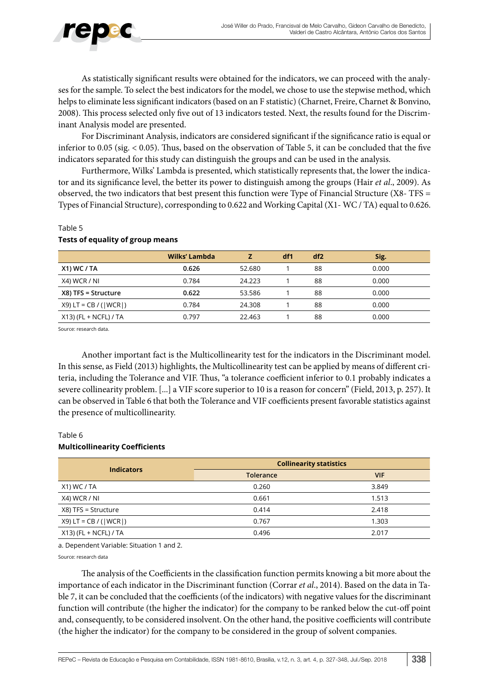

As statistically significant results were obtained for the indicators, we can proceed with the analyses for the sample. To select the best indicators for the model, we chose to use the stepwise method, which helps to eliminate less significant indicators (based on an F statistic) (Charnet, Freire, Charnet & Bonvino, 2008). This process selected only five out of 13 indicators tested. Next, the results found for the Discriminant Analysis model are presented.

For Discriminant Analysis, indicators are considered significant if the significance ratio is equal or inferior to 0.05 (sig. < 0.05). Thus, based on the observation of Table 5, it can be concluded that the five indicators separated for this study can distinguish the groups and can be used in the analysis.

Furthermore, Wilks' Lambda is presented, which statistically represents that, the lower the indicator and its significance level, the better its power to distinguish among the groups (Hair *et al*., 2009). As observed, the two indicators that best present this function were Type of Financial Structure (X8- TFS = Types of Financial Structure), corresponding to 0.622 and Working Capital (X1- WC / TA) equal to 0.626.

|                          | Wilks' Lambda |        | df1 | df2 | Sig.  |
|--------------------------|---------------|--------|-----|-----|-------|
| $X1)$ WC / TA            | 0.626         | 52.680 |     | 88  | 0.000 |
| X4) WCR / NI             | 0.784         | 24.223 |     | 88  | 0.000 |
| $X8$ ) TFS = Structure   | 0.622         | 53.586 |     | 88  | 0.000 |
| $X9$ ) LT = CB / ( WCR ) | 0.784         | 24.308 |     | 88  | 0.000 |
| $X13$ ) (FL + NCFL) / TA | 0.797         | 22.463 |     | 88  | 0.000 |

#### Table 5

### **Tests of equality of group means**

Source: research data.

Another important fact is the Multicollinearity test for the indicators in the Discriminant model. In this sense, as Field (2013) highlights, the Multicollinearity test can be applied by means of different criteria, including the Tolerance and VIF. Thus, "a tolerance coefficient inferior to 0.1 probably indicates a severe collinearity problem. [...] a VIF score superior to 10 is a reason for concern" (Field, 2013, p. 257). It can be observed in Table 6 that both the Tolerance and VIF coefficients present favorable statistics against the presence of multicollinearity.

## Table 6

### **Multicollinearity Coefficients**

| <b>Indicators</b>        | <b>Collinearity statistics</b> |            |  |  |
|--------------------------|--------------------------------|------------|--|--|
|                          | <b>Tolerance</b>               | <b>VIF</b> |  |  |
| X1) WC / TA              | 0.260                          | 3.849      |  |  |
| X4) WCR / NI             | 0.661                          | 1.513      |  |  |
| X8) TFS = Structure      | 0.414                          | 2.418      |  |  |
| $X9$ ) LT = CB / ( WCR ) | 0.767                          | 1.303      |  |  |
| $X13$ ) (FL + NCFL) / TA | 0.496                          | 2.017      |  |  |

a. Dependent Variable: Situation 1 and 2.

Source: research data

The analysis of the Coefficients in the classification function permits knowing a bit more about the importance of each indicator in the Discriminant function (Corrar *et al*., 2014). Based on the data in Table 7, it can be concluded that the coefficients (of the indicators) with negative values for the discriminant function will contribute (the higher the indicator) for the company to be ranked below the cut-off point and, consequently, to be considered insolvent. On the other hand, the positive coefficients will contribute (the higher the indicator) for the company to be considered in the group of solvent companies.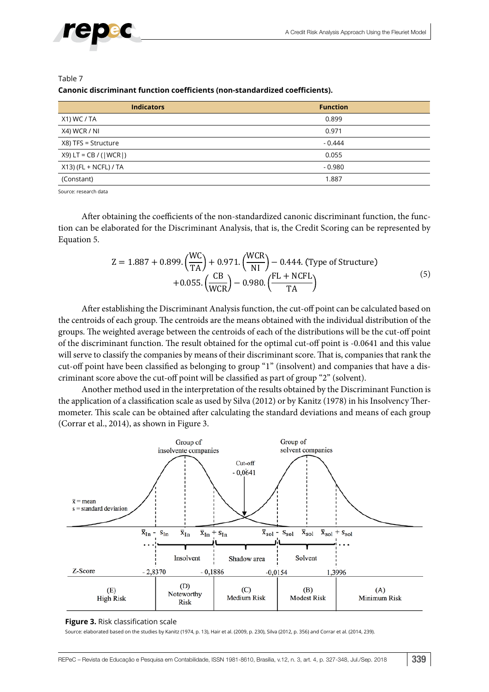



#### Table 7 **Canonic discriminant function coefficients (non-standardized coefficients).**

| <b>Indicators</b>        | <b>Function</b> |
|--------------------------|-----------------|
| X1) WC / TA              | 0.899           |
| X4) WCR / NI             | 0.971           |
| X8) TFS = Structure      | $-0.444$        |
| $X9)$ LT = CB / ( WCR )  | 0.055           |
| $X13$ ) (FL + NCFL) / TA | $-0.980$        |
| (Constant)               | 1.887           |

Source: research data

After obtaining the coefficients of the non-standardized canonic discriminant function, the function can be elaborated for the Discriminant Analysis, that is, the Credit Scoring can be represented by Equation 5.

$$
Z = 1.887 + 0.899 \cdot \left(\frac{WC}{TA}\right) + 0.971 \cdot \left(\frac{WCR}{NI}\right) - 0.444 \cdot \text{(Type of Structure)} + 0.055 \cdot \left(\frac{CB}{WCR}\right) - 0.980 \cdot \left(\frac{FL + NCFL}{TA}\right)
$$
\n
$$
(5)
$$

After establishing the Discriminant Analysis function, the cut-off point can be calculated based on the centroids of each group. The centroids are the means obtained with the individual distribution of the groups. The weighted average between the centroids of each of the distributions will be the cut-off point of the discriminant function. The result obtained for the optimal cut-off point is -0.0641 and this value will serve to classify the companies by means of their discriminant score. That is, companies that rank the cut-off point have been classified as belonging to group "1" (insolvent) and companies that have a discriminant score above the cut-off point will be classified as part of group "2" (solvent).

Another method used in the interpretation of the results obtained by the Discriminant Function is the application of a classification scale as used by Silva (2012) or by Kanitz (1978) in his Insolvency Thermometer. This scale can be obtained after calculating the standard deviations and means of each group (Corrar et al., 2014), as shown in Figure 3.



#### **Figure 3.** Risk classification scale

Source: elaborated based on the studies by Kanitz (1974, p. 13), Hair et al. (2009, p. 230), Silva (2012, p. 356) and Corrar et al. (2014, 239).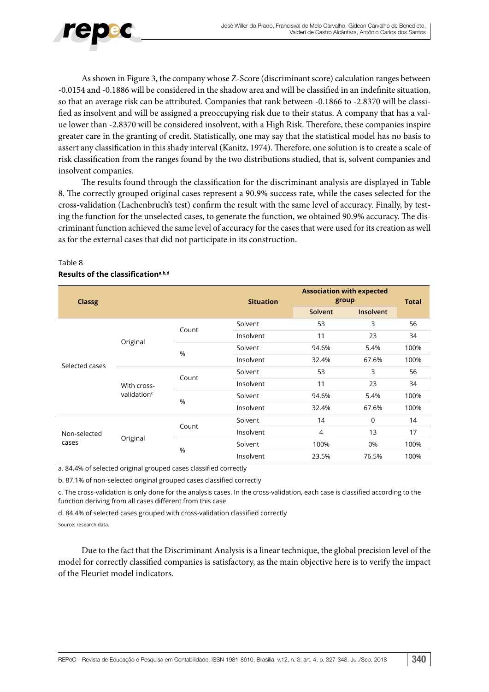

As shown in Figure 3, the company whose Z-Score (discriminant score) calculation ranges between -0.0154 and -0.1886 will be considered in the shadow area and will be classified in an indefinite situation, so that an average risk can be attributed. Companies that rank between -0.1866 to -2.8370 will be classified as insolvent and will be assigned a preoccupying risk due to their status. A company that has a value lower than -2.8370 will be considered insolvent, with a High Risk. Therefore, these companies inspire greater care in the granting of credit. Statistically, one may say that the statistical model has no basis to assert any classification in this shady interval (Kanitz, 1974). Therefore, one solution is to create a scale of risk classification from the ranges found by the two distributions studied, that is, solvent companies and insolvent companies.

The results found through the classification for the discriminant analysis are displayed in Table 8. The correctly grouped original cases represent a 90.9% success rate, while the cases selected for the cross-validation (Lachenbruch's test) confirm the result with the same level of accuracy. Finally, by testing the function for the unselected cases, to generate the function, we obtained 90.9% accuracy. The discriminant function achieved the same level of accuracy for the cases that were used for its creation as well as for the external cases that did not participate in its construction.

| <b>Classg</b>  |                                        |       | <b>Situation</b> | <b>Association with expected</b><br>group | <b>Total</b>     |      |  |
|----------------|----------------------------------------|-------|------------------|-------------------------------------------|------------------|------|--|
|                |                                        |       |                  | Solvent                                   | <b>Insolvent</b> |      |  |
|                |                                        | Count | Solvent          | 53                                        | 3                | 56   |  |
|                |                                        |       | Insolvent        | 11                                        | 23               | 34   |  |
|                | Original                               | %     | Solvent          | 94.6%                                     | 5.4%             | 100% |  |
| Selected cases |                                        |       | Insolvent        | 32.4%                                     | 67.6%            | 100% |  |
|                | With cross-<br>validation <sup>c</sup> | Count | Solvent          | 53                                        | 3                | 56   |  |
|                |                                        |       | Insolvent        | 11                                        | 23               | 34   |  |
|                |                                        | %     | Solvent          | 94.6%                                     | 5.4%             | 100% |  |
|                |                                        |       | Insolvent        | 32.4%                                     | 67.6%            | 100% |  |
|                |                                        | Count | Solvent          | 14                                        | 0                | 14   |  |
| Non-selected   |                                        |       | Insolvent        | 4                                         | 13               | 17   |  |
| cases          | Original                               | %     | Solvent          | 100%                                      | 0%               | 100% |  |
|                |                                        |       | Insolvent        | 23.5%                                     | 76.5%            | 100% |  |

### Table 8 **Results of the classificationa,b,d**

a. 84.4% of selected original grouped cases classified correctly

b. 87.1% of non-selected original grouped cases classified correctly

c. The cross-validation is only done for the analysis cases. In the cross-validation, each case is classified according to the function deriving from all cases different from this case

d. 84.4% of selected cases grouped with cross-validation classified correctly

Source: research data.

Due to the fact that the Discriminant Analysis is a linear technique, the global precision level of the model for correctly classified companies is satisfactory, as the main objective here is to verify the impact of the Fleuriet model indicators.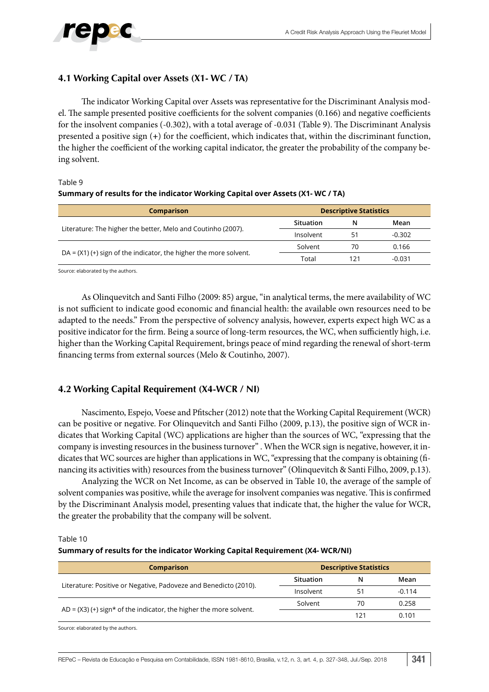

### **4.1 Working Capital over Assets (X1- WC / TA)**

The indicator Working Capital over Assets was representative for the Discriminant Analysis model. The sample presented positive coefficients for the solvent companies (0.166) and negative coefficients for the insolvent companies (-0.302), with a total average of -0.031 (Table 9). The Discriminant Analysis presented a positive sign (**+**) for the coefficient, which indicates that, within the discriminant function, the higher the coefficient of the working capital indicator, the greater the probability of the company being solvent.

#### Table 9

### **Summary of results for the indicator Working Capital over Assets (X1- WC / TA)**

| <b>Comparison</b>                                                  | <b>Descriptive Statistics</b> |     |          |  |
|--------------------------------------------------------------------|-------------------------------|-----|----------|--|
| Literature: The higher the better, Melo and Coutinho (2007).       | Situation                     | N   | Mean     |  |
|                                                                    | Insolvent                     | 51  | -0.302   |  |
|                                                                    | Solvent                       | 70  | 0.166    |  |
| $DA = (X1)(+)$ sign of the indicator, the higher the more solvent. | Total                         | 121 | $-0.031$ |  |

Source: elaborated by the authors.

As Olinquevitch and Santi Filho (2009: 85) argue, "in analytical terms, the mere availability of WC is not sufficient to indicate good economic and financial health: the available own resources need to be adapted to the needs." From the perspective of solvency analysis, however, experts expect high WC as a positive indicator for the firm. Being a source of long-term resources, the WC, when sufficiently high, i.e. higher than the Working Capital Requirement, brings peace of mind regarding the renewal of short-term financing terms from external sources (Melo & Coutinho, 2007).

### **4.2 Working Capital Requirement (X4-WCR / NI)**

Nascimento, Espejo, Voese and Pfitscher (2012) note that the Working Capital Requirement (WCR) can be positive or negative. For Olinquevitch and Santi Filho (2009, p.13), the positive sign of WCR indicates that Working Capital (WC) applications are higher than the sources of WC, "expressing that the company is investing resources in the business turnover" . When the WCR sign is negative, however, it indicates that WC sources are higher than applications in WC, "expressing that the company is obtaining (financing its activities with) resources from the business turnover" (Olinquevitch & Santi Filho, 2009, p.13).

Analyzing the WCR on Net Income, as can be observed in Table 10, the average of the sample of solvent companies was positive, while the average for insolvent companies was negative. This is confirmed by the Discriminant Analysis model, presenting values that indicate that, the higher the value for WCR, the greater the probability that the company will be solvent.

Table 10

#### **Summary of results for the indicator Working Capital Requirement (X4- WCR/NI)**

| <b>Comparison</b>                                                   | <b>Descriptive Statistics</b> |     |          |  |
|---------------------------------------------------------------------|-------------------------------|-----|----------|--|
|                                                                     | <b>Situation</b>              | N   | Mean     |  |
| Literature: Positive or Negative, Padoveze and Benedicto (2010).    | Insolvent                     | 51  | $-0.114$ |  |
|                                                                     | Solvent                       | 70  | 0.258    |  |
| $AD = (X3)(+)$ sign* of the indicator, the higher the more solvent. |                               | 121 | 0.101    |  |

Source: elaborated by the authors.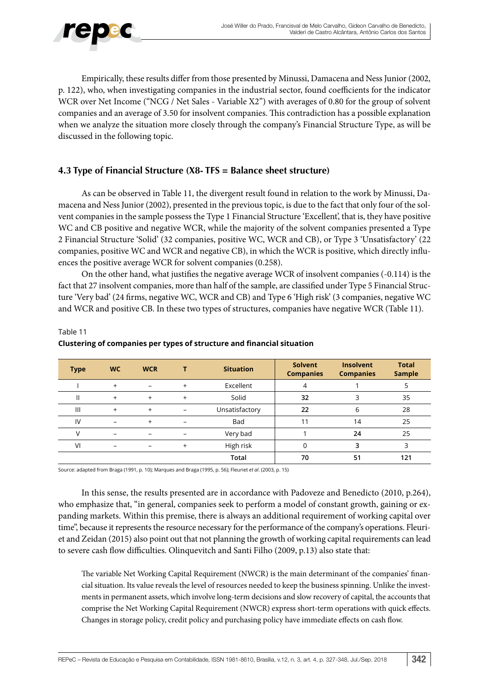

Empirically, these results differ from those presented by Minussi, Damacena and Ness Junior (2002, p. 122), who, when investigating companies in the industrial sector, found coefficients for the indicator WCR over Net Income ("NCG / Net Sales - Variable X2") with averages of 0.80 for the group of solvent companies and an average of 3.50 for insolvent companies. This contradiction has a possible explanation when we analyze the situation more closely through the company's Financial Structure Type, as will be discussed in the following topic.

### **4.3 Type of Financial Structure (X8- TFS = Balance sheet structure)**

As can be observed in Table 11, the divergent result found in relation to the work by Minussi, Damacena and Ness Junior (2002), presented in the previous topic, is due to the fact that only four of the solvent companies in the sample possess the Type 1 Financial Structure 'Excellent', that is, they have positive WC and CB positive and negative WCR, while the majority of the solvent companies presented a Type 2 Financial Structure 'Solid' (32 companies, positive WC, WCR and CB), or Type 3 'Unsatisfactory' (22 companies, positive WC and WCR and negative CB), in which the WCR is positive, which directly influences the positive average WCR for solvent companies (0.258).

On the other hand, what justifies the negative average WCR of insolvent companies (-0.114) is the fact that 27 insolvent companies, more than half of the sample, are classified under Type 5 Financial Structure 'Very bad' (24 firms, negative WC, WCR and CB) and Type 6 'High risk' (3 companies, negative WC and WCR and positive CB. In these two types of structures, companies have negative WCR (Table 11).

| <b>Type</b> | <b>WC</b>                | <b>WCR</b>               |                          | <b>Situation</b> | <b>Solvent</b><br><b>Companies</b> | <b>Insolvent</b><br><b>Companies</b> | <b>Total</b><br><b>Sample</b> |
|-------------|--------------------------|--------------------------|--------------------------|------------------|------------------------------------|--------------------------------------|-------------------------------|
|             | $+$                      | $\overline{\phantom{m}}$ | $+$                      | Excellent        | 4                                  |                                      |                               |
|             | $+$                      | $\ddot{}$                | $+$                      | Solid            | 32                                 | 3                                    | 35                            |
| Ш           | $+$                      | $^{+}$                   | $\overline{\phantom{0}}$ | Unsatisfactory   | 22                                 | 6                                    | 28                            |
| IV          | -                        | $\ddot{}$                |                          | Bad              | 11                                 | 14                                   | 25                            |
|             | $\overline{\phantom{0}}$ | $\overline{\phantom{0}}$ | $\overline{\phantom{0}}$ | Very bad         |                                    | 24                                   | 25                            |
| VI          | $\qquad \qquad$          | $\qquad \qquad$          | $+$                      | High risk        |                                    | 3                                    | 3                             |
|             |                          |                          |                          | Total            | 70                                 | 51                                   | 121                           |

### Table 11 **Clustering of companies per types of structure and financial situation**

Source: adapted from Braga (1991, p. 10); Marques and Braga (1995, p. 56); Fleuriet *et al*. (2003, p. 15)

In this sense, the results presented are in accordance with Padoveze and Benedicto (2010, p.264), who emphasize that, "in general, companies seek to perform a model of constant growth, gaining or expanding markets. Within this premise, there is always an additional requirement of working capital over time", because it represents the resource necessary for the performance of the company's operations. Fleuriet and Zeidan (2015) also point out that not planning the growth of working capital requirements can lead to severe cash flow difficulties. Olinquevitch and Santi Filho (2009, p.13) also state that:

The variable Net Working Capital Requirement (NWCR) is the main determinant of the companies' financial situation. Its value reveals the level of resources needed to keep the business spinning. Unlike the investments in permanent assets, which involve long-term decisions and slow recovery of capital, the accounts that comprise the Net Working Capital Requirement (NWCR) express short-term operations with quick effects. Changes in storage policy, credit policy and purchasing policy have immediate effects on cash flow.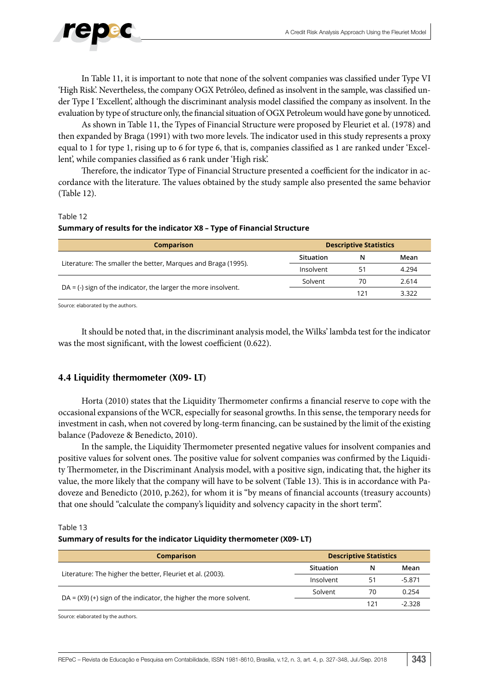

In Table 11, it is important to note that none of the solvent companies was classified under Type VI 'High Risk'. Nevertheless, the company OGX Petróleo, defined as insolvent in the sample, was classified under Type I 'Excellent', although the discriminant analysis model classified the company as insolvent. In the evaluation by type of structure only, the financial situation of OGX Petroleum would have gone by unnoticed.

As shown in Table 11, the Types of Financial Structure were proposed by Fleuriet et al. (1978) and then expanded by Braga (1991) with two more levels. The indicator used in this study represents a proxy equal to 1 for type 1, rising up to 6 for type 6, that is, companies classified as 1 are ranked under 'Excellent', while companies classified as 6 rank under 'High risk'.

Therefore, the indicator Type of Financial Structure presented a coefficient for the indicator in accordance with the literature. The values obtained by the study sample also presented the same behavior (Table 12).

#### Table 12

#### **Summary of results for the indicator X8 – Type of Financial Structure**

| <b>Comparison</b>                                                | <b>Descriptive Statistics</b> |     |       |  |
|------------------------------------------------------------------|-------------------------------|-----|-------|--|
| Literature: The smaller the better, Marques and Braga (1995).    | Situation                     | N   | Mean  |  |
|                                                                  | Insolvent                     | 51  | 4.294 |  |
| $DA = (-)$ sign of the indicator, the larger the more insolvent. | Solvent                       | 70  | 2.614 |  |
|                                                                  |                               | 121 | 3.322 |  |
|                                                                  |                               |     |       |  |

Source: elaborated by the authors.

It should be noted that, in the discriminant analysis model, the Wilks' lambda test for the indicator was the most significant, with the lowest coefficient (0.622).

### **4.4 Liquidity thermometer (X09- LT)**

Horta (2010) states that the Liquidity Thermometer confirms a financial reserve to cope with the occasional expansions of the WCR, especially for seasonal growths. In this sense, the temporary needs for investment in cash, when not covered by long-term financing, can be sustained by the limit of the existing balance (Padoveze & Benedicto, 2010).

In the sample, the Liquidity Thermometer presented negative values for insolvent companies and positive values for solvent ones. The positive value for solvent companies was confirmed by the Liquidity Thermometer, in the Discriminant Analysis model, with a positive sign, indicating that, the higher its value, the more likely that the company will have to be solvent (Table 13). This is in accordance with Padoveze and Benedicto (2010, p.262), for whom it is "by means of financial accounts (treasury accounts) that one should "calculate the company's liquidity and solvency capacity in the short term".

#### Table 13 **Summary of results for the indicator Liquidity thermometer (X09- LT)**

| <b>Comparison</b>                                                   | <b>Descriptive Statistics</b> |     |          |  |
|---------------------------------------------------------------------|-------------------------------|-----|----------|--|
| Literature: The higher the better, Fleuriet et al. (2003).          | Situation                     | N   | Mean     |  |
|                                                                     | Insolvent                     | 51  | $-5.871$ |  |
| $DA = (X9)$ (+) sign of the indicator, the higher the more solvent. | Solvent                       | 70  | 0.254    |  |
|                                                                     |                               | 121 | -2.328   |  |

Source: elaborated by the authors.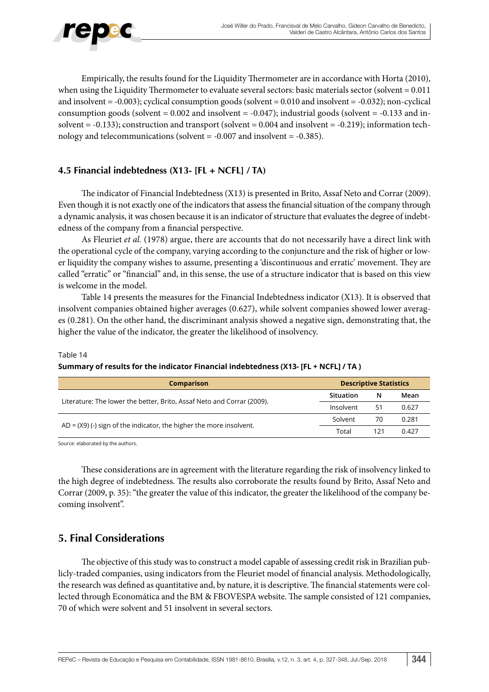

Empirically, the results found for the Liquidity Thermometer are in accordance with Horta (2010), when using the Liquidity Thermometer to evaluate several sectors: basic materials sector (solvent  $= 0.011$ ) and insolvent = -0.003); cyclical consumption goods (solvent = 0.010 and insolvent = -0.032); non-cyclical consumption goods (solvent =  $0.002$  and insolvent =  $-0.047$ ); industrial goods (solvent =  $-0.133$  and insolvent = -0.133); construction and transport (solvent = 0.004 and insolvent = -0.219); information technology and telecommunications (solvent = -0.007 and insolvent = -0.385).

### **4.5 Financial indebtedness (X13- [FL + NCFL] / TA)**

The indicator of Financial Indebtedness (X13) is presented in Brito, Assaf Neto and Corrar (2009). Even though it is not exactly one of the indicators that assess the financial situation of the company through a dynamic analysis, it was chosen because it is an indicator of structure that evaluates the degree of indebtedness of the company from a financial perspective.

As Fleuriet *et al.* (1978) argue, there are accounts that do not necessarily have a direct link with the operational cycle of the company, varying according to the conjuncture and the risk of higher or lower liquidity the company wishes to assume, presenting a 'discontinuous and erratic' movement. They are called "erratic" or "financial" and, in this sense, the use of a structure indicator that is based on this view is welcome in the model.

Table 14 presents the measures for the Financial Indebtedness indicator (X13). It is observed that insolvent companies obtained higher averages (0.627), while solvent companies showed lower averages (0.281). On the other hand, the discriminant analysis showed a negative sign, demonstrating that, the higher the value of the indicator, the greater the likelihood of insolvency.

#### Table 14

### **Summary of results for the indicator Financial indebtedness (X13- [FL + NCFL] / TA )**

| <b>Comparison</b>                                                      | <b>Descriptive Statistics</b> |     |       |
|------------------------------------------------------------------------|-------------------------------|-----|-------|
| Literature: The lower the better, Brito, Assaf Neto and Corrar (2009). | Situation                     | N   | Mean  |
|                                                                        | Insolvent                     | 51  | 0.627 |
| $AD = (X9)$ (-) sign of the indicator, the higher the more insolvent.  | Solvent                       | 70  | 0.281 |
|                                                                        | Total                         | 121 | 0.427 |

Source: elaborated by the authors.

These considerations are in agreement with the literature regarding the risk of insolvency linked to the high degree of indebtedness. The results also corroborate the results found by Brito, Assaf Neto and Corrar (2009, p. 35): "the greater the value of this indicator, the greater the likelihood of the company becoming insolvent".

### **5. Final Considerations**

The objective of this study was to construct a model capable of assessing credit risk in Brazilian publicly-traded companies, using indicators from the Fleuriet model of financial analysis. Methodologically, the research was defined as quantitative and, by nature, it is descriptive. The financial statements were collected through Economática and the BM & FBOVESPA website. The sample consisted of 121 companies, 70 of which were solvent and 51 insolvent in several sectors.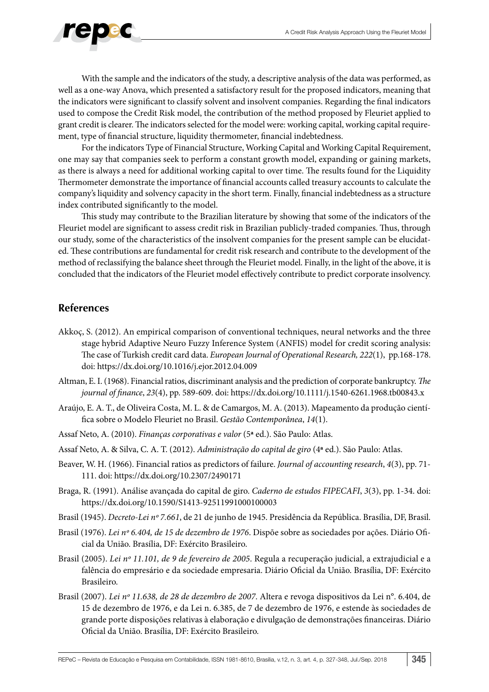

With the sample and the indicators of the study, a descriptive analysis of the data was performed, as well as a one-way Anova, which presented a satisfactory result for the proposed indicators, meaning that the indicators were significant to classify solvent and insolvent companies. Regarding the final indicators used to compose the Credit Risk model, the contribution of the method proposed by Fleuriet applied to grant credit is clearer. The indicators selected for the model were: working capital, working capital requirement, type of financial structure, liquidity thermometer, financial indebtedness.

For the indicators Type of Financial Structure, Working Capital and Working Capital Requirement, one may say that companies seek to perform a constant growth model, expanding or gaining markets, as there is always a need for additional working capital to over time. The results found for the Liquidity Thermometer demonstrate the importance of financial accounts called treasury accounts to calculate the company's liquidity and solvency capacity in the short term. Finally, financial indebtedness as a structure index contributed significantly to the model.

This study may contribute to the Brazilian literature by showing that some of the indicators of the Fleuriet model are significant to assess credit risk in Brazilian publicly-traded companies. Thus, through our study, some of the characteristics of the insolvent companies for the present sample can be elucidated. These contributions are fundamental for credit risk research and contribute to the development of the method of reclassifying the balance sheet through the Fleuriet model. Finally, in the light of the above, it is concluded that the indicators of the Fleuriet model effectively contribute to predict corporate insolvency.

### **References**

- Akkoç, S. (2012). An empirical comparison of conventional techniques, neural networks and the three stage hybrid Adaptive Neuro Fuzzy Inference System (ANFIS) model for credit scoring analysis: The case of Turkish credit card data. *European Journal of Operational Research, 222*(1), pp.168-178. doi: https://dx.doi.org/10.1016/j.ejor.2012.04.009
- Altman, E. I. (1968). Financial ratios, discriminant analysis and the prediction of corporate bankruptcy. *The journal of finance*, *23*(4), pp. 589-609. doi: https://dx.doi.org/10.1111/j.1540-6261.1968.tb00843.x
- Araújo, E. A. T., de Oliveira Costa, M. L. & de Camargos, M. A. (2013). Mapeamento da produção científica sobre o Modelo Fleuriet no Brasil. *Gestão Contemporânea*, *14*(1).
- Assaf Neto, A. (2010). *Finanças corporativas e valor* (5**ª** ed.). São Paulo: Atlas.
- Assaf Neto, A. & Silva, C. A. T. (2012). *Administração do capital de giro* (4**ª** ed.). São Paulo: Atlas.
- Beaver, W. H. (1966). Financial ratios as predictors of failure. *Journal of accounting research*, *4*(3), pp. 71- 111. doi: https://dx.doi.org/10.2307/2490171
- Braga, R. (1991). Análise avançada do capital de giro. *Caderno de estudos FIPECAFI*, *3*(3), pp. 1-34. doi: https://dx.doi.org/10.1590/S1413-92511991000100003
- Brasil (1945). *Decreto-Lei nº 7.661*, de 21 de junho de 1945. Presidência da República. Brasília, DF, Brasil.
- Brasil (1976). *Lei nº 6.404, de 15 de dezembro de 1976*. Dispõe sobre as sociedades por ações. Diário Oficial da União. Brasília, DF: Exército Brasileiro.
- Brasil (2005). *Lei nº 11.101, de 9 de fevereiro de 2005*. Regula a recuperação judicial, a extrajudicial e a falência do empresário e da sociedade empresaria. Diário Oficial da União. Brasília, DF: Exército Brasileiro.
- Brasil (2007). *Lei nº 11.638, de 28 de dezembro de 2007*. Altera e revoga dispositivos da Lei n°. 6.404, de 15 de dezembro de 1976, e da Lei n. 6.385, de 7 de dezembro de 1976, e estende às sociedades de grande porte disposições relativas à elaboração e divulgação de demonstrações financeiras. Diário Oficial da União. Brasília, DF: Exército Brasileiro.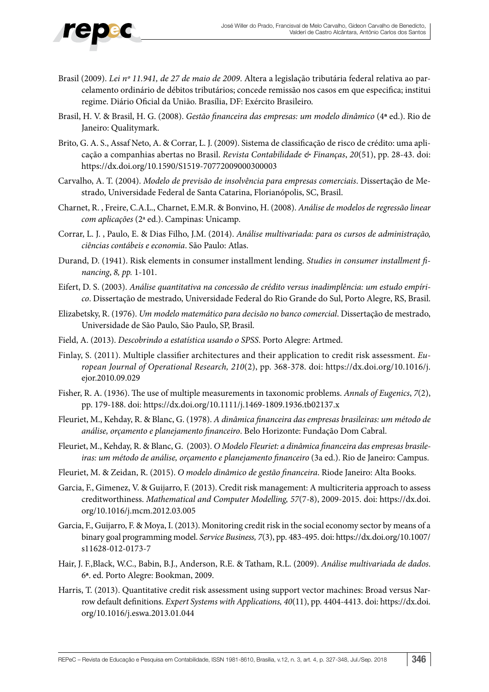

- Brasil (2009). *Lei nº 11.941, de 27 de maio de 2009*. Altera a legislação tributária federal relativa ao parcelamento ordinário de débitos tributários; concede remissão nos casos em que especifica; institui regime. Diário Oficial da União. Brasília, DF: Exército Brasileiro.
- Brasil, H. V. & Brasil, H. G. (2008). *Gestão financeira das empresas: um modelo dinâmico* (4**ª** ed.). Rio de Janeiro: Qualitymark.
- Brito, G. A. S., Assaf Neto, A. & Corrar, L. J. (2009). Sistema de classificação de risco de crédito: uma aplicação a companhias abertas no Brasil. *Revista Contabilidade & Finanças*, *20*(51), pp. 28-43. doi: https://dx.doi.org/10.1590/S1519-70772009000300003
- Carvalho, A. T. (2004). *Modelo de previsão de insolvência para empresas comerciais*. Dissertação de Mestrado, Universidade Federal de Santa Catarina, Florianópolis, SC, Brasil.
- Charnet, R. , Freire, C.A.L., Charnet, E.M.R. & Bonvino, H. (2008). *Análise de modelos de regressão linear com aplicações* (2ª ed.). Campinas: Unicamp.
- Corrar, L. J. , Paulo, E. & Dias Filho, J.M. (2014). *Análise multivariada: para os cursos de administração, ciências contábeis e economia*. São Paulo: Atlas.
- Durand, D. (1941). Risk elements in consumer installment lending. *Studies in consumer installment financing*, *8, pp.* 1-101.
- Eifert, D. S. (2003). *Análise quantitativa na concessão de crédito versus inadimplência: um estudo empírico*. Dissertação de mestrado, Universidade Federal do Rio Grande do Sul, Porto Alegre, RS, Brasil.
- Elizabetsky, R. (1976). *Um modelo matemático para decisão no banco comercial*. Dissertação de mestrado, Universidade de São Paulo, São Paulo, SP, Brasil.
- Field, A. (2013). *Descobrindo a estatística usando o SPSS*. Porto Alegre: Artmed.
- Finlay, S. (2011). Multiple classifier architectures and their application to credit risk assessment. *European Journal of Operational Research, 210*(2), pp. 368-378. doi: https://dx.doi.org/10.1016/j. ejor.2010.09.029
- Fisher, R. A. (1936). The use of multiple measurements in taxonomic problems. *Annals of Eugenics*, *7*(2), pp. 179-188. doi: https://dx.doi.org/10.1111/j.1469-1809.1936.tb02137.x
- Fleuriet, M., Kehday, R. & Blanc, G. (1978). *A dinâmica financeira das empresas brasileiras: um método de análise, orçamento e planejamento financeiro*. Belo Horizonte: Fundação Dom Cabral.
- Fleuriet, M., Kehday, R. & Blanc, G. (2003). *O Modelo Fleuriet: a dinâmica financeira das empresas brasileiras: um método de análise, orçamento e planejamento financeiro* (3a ed.). Rio de Janeiro: Campus.
- Fleuriet, M. & Zeidan, R. (2015). *O modelo dinâmico de gestão financeira*. Riode Janeiro: Alta Books.
- Garcia, F., Gimenez, V. & Guijarro, F. (2013). Credit risk management: A multicriteria approach to assess creditworthiness. *Mathematical and Computer Modelling, 57*(7-8), 2009-2015. doi: https://dx.doi. org/10.1016/j.mcm.2012.03.005
- Garcia, F., Guijarro, F. & Moya, I. (2013). Monitoring credit risk in the social economy sector by means of a binary goal programming model. *Service Business, 7*(3), pp. 483-495. doi: https://dx.doi.org/10.1007/ s11628-012-0173-7
- Hair, J. F.,Black, W.C., Babin, B.J., Anderson, R.E. & Tatham, R.L. (2009). *Análise multivariada de dados*. 6**ª**. ed. Porto Alegre: Bookman, 2009.
- Harris, T. (2013). Quantitative credit risk assessment using support vector machines: Broad versus Narrow default definitions. *Expert Systems with Applications, 40*(11), pp. 4404-4413. doi: https://dx.doi. org/10.1016/j.eswa.2013.01.044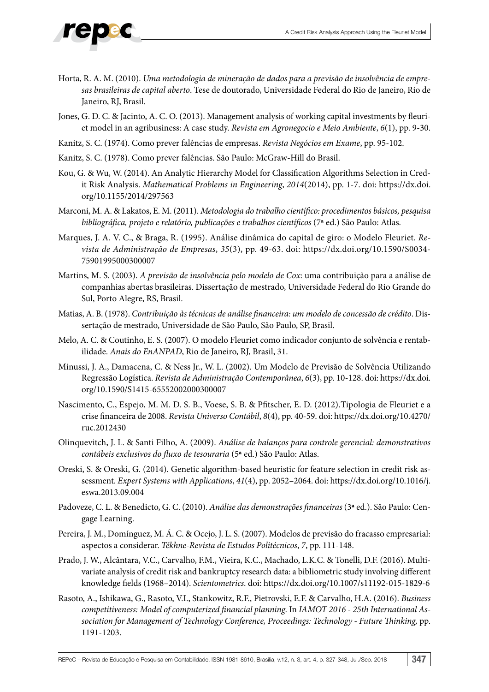- Horta, R. A. M. (2010). *Uma metodologia de mineração de dados para a previsão de insolvência de empresas brasileiras de capital aberto*. Tese de doutorado, Universidade Federal do Rio de Janeiro, Rio de Janeiro, RJ, Brasil.
- Jones, G. D. C. & Jacinto, A. C. O. (2013). Management analysis of working capital investments by fleuriet model in an agribusiness: A case study. *Revista em Agronegocio e Meio Ambiente*, *6*(1), pp. 9-30.
- Kanitz, S. C. (1974). Como prever falências de empresas. *Revista Negócios em Exame*, pp. 95-102.
- Kanitz, S. C. (1978). Como prever falências. São Paulo: McGraw-Hill do Brasil.
- Kou, G. & Wu, W. (2014). An Analytic Hierarchy Model for Classification Algorithms Selection in Credit Risk Analysis. *Mathematical Problems in Engineering*, *2014*(2014), pp. 1-7. doi: https://dx.doi. org/10.1155/2014/297563
- Marconi, M. A. & Lakatos, E. M. (2011). *Metodologia do trabalho científico: procedimentos básicos, pesquisa bibliográfica, projeto e relatório, publicações e trabalhos científicos* (7**ª** ed.) São Paulo: Atlas.
- Marques, J. A. V. C., & Braga, R. (1995). Análise dinâmica do capital de giro: o Modelo Fleuriet. *Revista de Administração de Empresas*, *35*(3), pp. 49-63. doi: https://dx.doi.org/10.1590/S0034- 75901995000300007
- Martins, M. S. (2003). *A previsão de insolvência pelo modelo de Cox*: uma contribuição para a análise de companhias abertas brasileiras. Dissertação de mestrado, Universidade Federal do Rio Grande do Sul, Porto Alegre, RS, Brasil.
- Matias, A. B. (1978). *Contribuição às técnicas de análise financeira: um modelo de concessão de crédito*. Dissertação de mestrado, Universidade de São Paulo, São Paulo, SP, Brasil.
- Melo, A. C. & Coutinho, E. S. (2007). O modelo Fleuriet como indicador conjunto de solvência e rentabilidade. *Anais do EnANPAD*, Rio de Janeiro, RJ, Brasil, 31.
- Minussi, J. A., Damacena, C. & Ness Jr., W. L. (2002). Um Modelo de Previsão de Solvência Utilizando Regressão Logística. *Revista de Administração Contemporânea*, *6*(3), pp. 10-128. doi: https://dx.doi. org/10.1590/S1415-65552002000300007
- Nascimento, C., Espejo, M. M. D. S. B., Voese, S. B. & Pfitscher, E. D. (2012).Tipologia de Fleuriet e a crise financeira de 2008. *Revista Universo Contábil*, *8*(4), pp. 40-59. doi: https://dx.doi.org/10.4270/ ruc.2012430
- Olinquevitch, J. L. & Santi Filho, A. (2009). *Análise de balanços para controle gerencial: demonstrativos contábeis exclusivos do fluxo de tesouraria* (5**ª** ed.) São Paulo: Atlas.
- Oreski, S. & Oreski, G. (2014). Genetic algorithm-based heuristic for feature selection in credit risk assessment. *Expert Systems with Applications*, *41*(4), pp. 2052–2064. doi: https://dx.doi.org/10.1016/j. eswa.2013.09.004
- Padoveze, C. L. & Benedicto, G. C. (2010). *Análise das demonstrações financeiras* (3**ª** ed.). São Paulo: Cengage Learning.
- Pereira, J. M., Domínguez, M. Á. C. & Ocejo, J. L. S. (2007). Modelos de previsão do fracasso empresarial: aspectos a considerar. *Tékhne-Revista de Estudos Politécnicos*, *7*, pp. 111-148.
- Prado, J. W., Alcântara, V.C., Carvalho, F.M., Vieira, K.C., Machado, L.K.C. & Tonelli, D.F. (2016). Multivariate analysis of credit risk and bankruptcy research data: a bibliometric study involving different knowledge fields (1968–2014). *Scientometrics*. doi: https://dx.doi.org/10.1007/s11192-015-1829-6
- Rasoto, A., Ishikawa, G., Rasoto, V.I., Stankowitz, R.F., Pietrovski, E.F. & Carvalho, H.A. (2016). *Business competitiveness: Model of computerized financial planning*. In *IAMOT 2016 - 25th International Association for Management of Technology Conference, Proceedings: Technology - Future Thinking,* pp. 1191-1203.